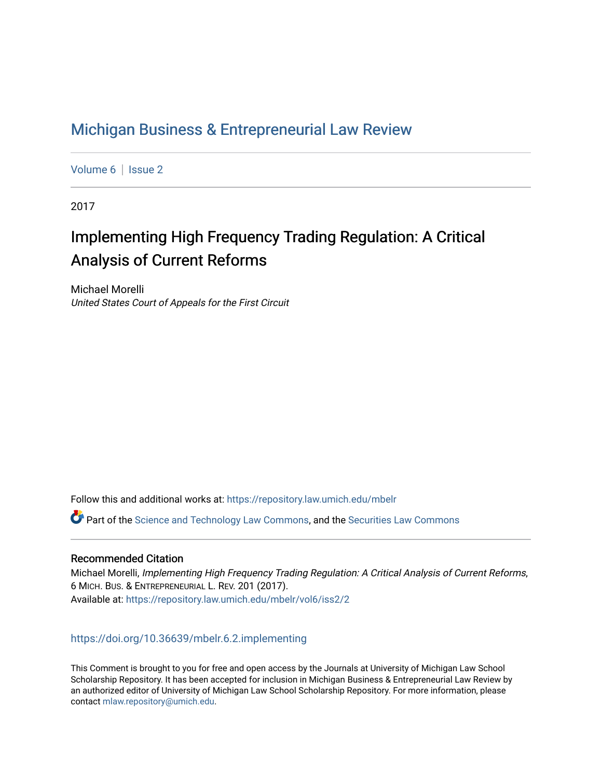# [Michigan Business & Entrepreneurial Law Review](https://repository.law.umich.edu/mbelr)

[Volume 6](https://repository.law.umich.edu/mbelr/vol6) | Issue 2

2017

# Implementing High Frequency Trading Regulation: A Critical Analysis of Current Reforms

Michael Morelli United States Court of Appeals for the First Circuit

Follow this and additional works at: [https://repository.law.umich.edu/mbelr](https://repository.law.umich.edu/mbelr?utm_source=repository.law.umich.edu%2Fmbelr%2Fvol6%2Fiss2%2F2&utm_medium=PDF&utm_campaign=PDFCoverPages)

Part of the [Science and Technology Law Commons](http://network.bepress.com/hgg/discipline/875?utm_source=repository.law.umich.edu%2Fmbelr%2Fvol6%2Fiss2%2F2&utm_medium=PDF&utm_campaign=PDFCoverPages), and the [Securities Law Commons](http://network.bepress.com/hgg/discipline/619?utm_source=repository.law.umich.edu%2Fmbelr%2Fvol6%2Fiss2%2F2&utm_medium=PDF&utm_campaign=PDFCoverPages) 

# Recommended Citation

Michael Morelli, Implementing High Frequency Trading Regulation: A Critical Analysis of Current Reforms, 6 MICH. BUS. & ENTREPRENEURIAL L. REV. 201 (2017). Available at: [https://repository.law.umich.edu/mbelr/vol6/iss2/2](https://repository.law.umich.edu/mbelr/vol6/iss2/2?utm_source=repository.law.umich.edu%2Fmbelr%2Fvol6%2Fiss2%2F2&utm_medium=PDF&utm_campaign=PDFCoverPages) 

<https://doi.org/10.36639/mbelr.6.2.implementing>

This Comment is brought to you for free and open access by the Journals at University of Michigan Law School Scholarship Repository. It has been accepted for inclusion in Michigan Business & Entrepreneurial Law Review by an authorized editor of University of Michigan Law School Scholarship Repository. For more information, please contact [mlaw.repository@umich.edu](mailto:mlaw.repository@umich.edu).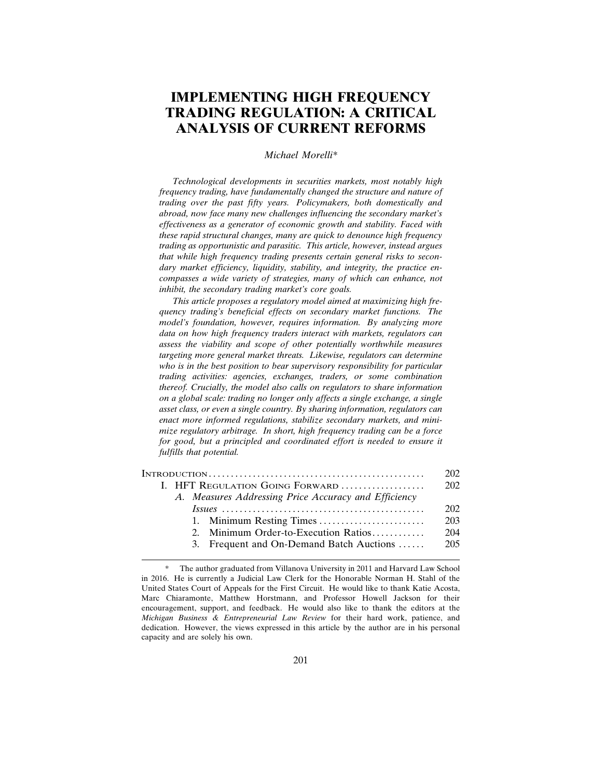# **IMPLEMENTING HIGH FREQUENCY TRADING REGULATION: A CRITICAL ANALYSIS OF CURRENT REFORMS**

#### *Michael Morelli\**

*Technological developments in securities markets, most notably high frequency trading, have fundamentally changed the structure and nature of trading over the past fifty years. Policymakers, both domestically and abroad, now face many new challenges influencing the secondary market's effectiveness as a generator of economic growth and stability. Faced with these rapid structural changes, many are quick to denounce high frequency trading as opportunistic and parasitic. This article, however, instead argues that while high frequency trading presents certain general risks to secondary market efficiency, liquidity, stability, and integrity, the practice encompasses a wide variety of strategies, many of which can enhance, not inhibit, the secondary trading market's core goals.*

*This article proposes a regulatory model aimed at maximizing high frequency trading's beneficial effects on secondary market functions. The model's foundation, however, requires information. By analyzing more data on how high frequency traders interact with markets, regulators can assess the viability and scope of other potentially worthwhile measures targeting more general market threats. Likewise, regulators can determine who is in the best position to bear supervisory responsibility for particular trading activities: agencies, exchanges, traders, or some combination thereof. Crucially, the model also calls on regulators to share information on a global scale: trading no longer only affects a single exchange, a single asset class, or even a single country. By sharing information, regulators can enact more informed regulations, stabilize secondary markets, and minimize regulatory arbitrage. In short, high frequency trading can be a force for good, but a principled and coordinated effort is needed to ensure it fulfills that potential.*

|                                                      | 202 |  |  |
|------------------------------------------------------|-----|--|--|
| I. HFT REGULATION GOING FORWARD                      |     |  |  |
| A. Measures Addressing Price Accuracy and Efficiency |     |  |  |
|                                                      | 202 |  |  |
|                                                      | 203 |  |  |
| 2. Minimum Order-to-Execution Ratios                 | 204 |  |  |
| 3. Frequent and On-Demand Batch Auctions             | 205 |  |  |
|                                                      |     |  |  |

The author graduated from Villanova University in 2011 and Harvard Law School in 2016. He is currently a Judicial Law Clerk for the Honorable Norman H. Stahl of the United States Court of Appeals for the First Circuit. He would like to thank Katie Acosta, Marc Chiaramonte, Matthew Horstmann, and Professor Howell Jackson for their encouragement, support, and feedback. He would also like to thank the editors at the *Michigan Business & Entrepreneurial Law Review* for their hard work, patience, and dedication. However, the views expressed in this article by the author are in his personal capacity and are solely his own.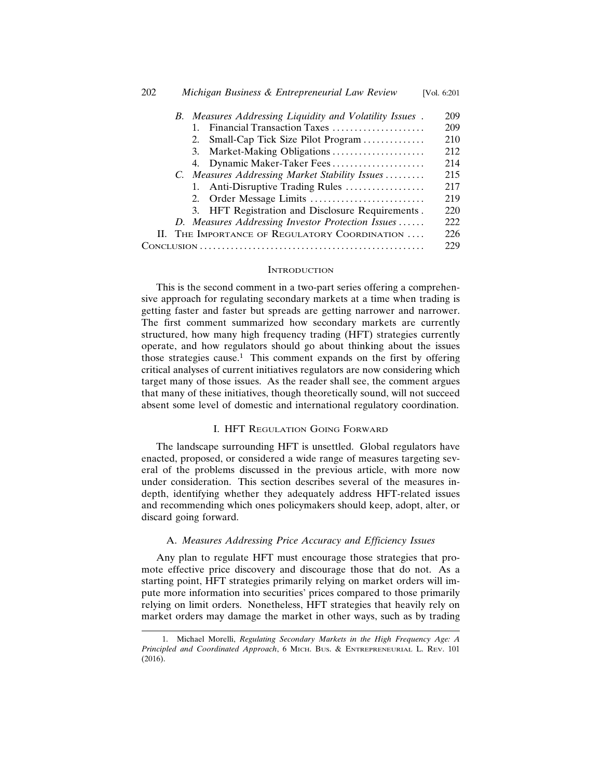|  |  |  | Financial Transaction Taxes                       | 209 |
|--|--|--|---------------------------------------------------|-----|
|  |  |  | 2. Small-Cap Tick Size Pilot Program              | 210 |
|  |  |  | 3. Market-Making Obligations                      | 212 |
|  |  |  | 4. Dynamic Maker-Taker Fees                       | 214 |
|  |  |  | C. Measures Addressing Market Stability Issues    | 215 |
|  |  |  | 1. Anti-Disruptive Trading Rules                  | 217 |
|  |  |  |                                                   | 219 |
|  |  |  | 3. HFT Registration and Disclosure Requirements.  | 220 |
|  |  |  | D. Measures Addressing Investor Protection Issues | 222 |
|  |  |  | II. THE IMPORTANCE OF REGULATORY COORDINATION     | 226 |
|  |  |  |                                                   | 229 |
|  |  |  |                                                   |     |

# **INTRODUCTION**

This is the second comment in a two-part series offering a comprehensive approach for regulating secondary markets at a time when trading is getting faster and faster but spreads are getting narrower and narrower. The first comment summarized how secondary markets are currently structured, how many high frequency trading (HFT) strategies currently operate, and how regulators should go about thinking about the issues those strategies cause.<sup>1</sup> This comment expands on the first by offering critical analyses of current initiatives regulators are now considering which target many of those issues. As the reader shall see, the comment argues that many of these initiatives, though theoretically sound, will not succeed absent some level of domestic and international regulatory coordination.

# I. HFT REGULATION GOING FORWARD

The landscape surrounding HFT is unsettled. Global regulators have enacted, proposed, or considered a wide range of measures targeting several of the problems discussed in the previous article, with more now under consideration. This section describes several of the measures indepth, identifying whether they adequately address HFT-related issues and recommending which ones policymakers should keep, adopt, alter, or discard going forward.

# A. *Measures Addressing Price Accuracy and Efficiency Issues*

Any plan to regulate HFT must encourage those strategies that promote effective price discovery and discourage those that do not. As a starting point, HFT strategies primarily relying on market orders will impute more information into securities' prices compared to those primarily relying on limit orders. Nonetheless, HFT strategies that heavily rely on market orders may damage the market in other ways, such as by trading

<sup>1.</sup> Michael Morelli, *Regulating Secondary Markets in the High Frequency Age: A Principled and Coordinated Approach*, 6 MICH. BUS. & ENTREPRENEURIAL L. REV. 101 (2016).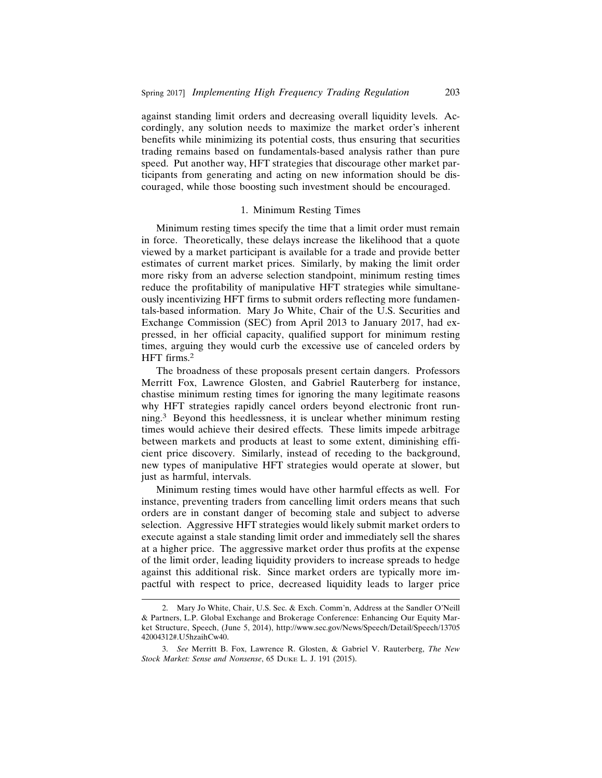against standing limit orders and decreasing overall liquidity levels. Accordingly, any solution needs to maximize the market order's inherent benefits while minimizing its potential costs, thus ensuring that securities trading remains based on fundamentals-based analysis rather than pure speed. Put another way, HFT strategies that discourage other market participants from generating and acting on new information should be discouraged, while those boosting such investment should be encouraged.

# 1. Minimum Resting Times

Minimum resting times specify the time that a limit order must remain in force. Theoretically, these delays increase the likelihood that a quote viewed by a market participant is available for a trade and provide better estimates of current market prices. Similarly, by making the limit order more risky from an adverse selection standpoint, minimum resting times reduce the profitability of manipulative HFT strategies while simultaneously incentivizing HFT firms to submit orders reflecting more fundamentals-based information. Mary Jo White, Chair of the U.S. Securities and Exchange Commission (SEC) from April 2013 to January 2017, had expressed, in her official capacity, qualified support for minimum resting times, arguing they would curb the excessive use of canceled orders by HFT firms.<sup>2</sup>

The broadness of these proposals present certain dangers. Professors Merritt Fox, Lawrence Glosten, and Gabriel Rauterberg for instance, chastise minimum resting times for ignoring the many legitimate reasons why HFT strategies rapidly cancel orders beyond electronic front running.3 Beyond this heedlessness, it is unclear whether minimum resting times would achieve their desired effects. These limits impede arbitrage between markets and products at least to some extent, diminishing efficient price discovery. Similarly, instead of receding to the background, new types of manipulative HFT strategies would operate at slower, but just as harmful, intervals.

Minimum resting times would have other harmful effects as well. For instance, preventing traders from cancelling limit orders means that such orders are in constant danger of becoming stale and subject to adverse selection. Aggressive HFT strategies would likely submit market orders to execute against a stale standing limit order and immediately sell the shares at a higher price. The aggressive market order thus profits at the expense of the limit order, leading liquidity providers to increase spreads to hedge against this additional risk. Since market orders are typically more impactful with respect to price, decreased liquidity leads to larger price

<sup>2.</sup> Mary Jo White, Chair, U.S. Sec. & Exch. Comm'n, Address at the Sandler O'Neill & Partners, L.P. Global Exchange and Brokerage Conference: Enhancing Our Equity Market Structure, Speech, (June 5, 2014), http://www.sec.gov/News/Speech/Detail/Speech/13705 42004312#.U5hzaihCw40.

<sup>3.</sup> *See* Merritt B. Fox, Lawrence R. Glosten, & Gabriel V. Rauterberg, *The New Stock Market: Sense and Nonsense*, 65 DUKE L. J. 191 (2015).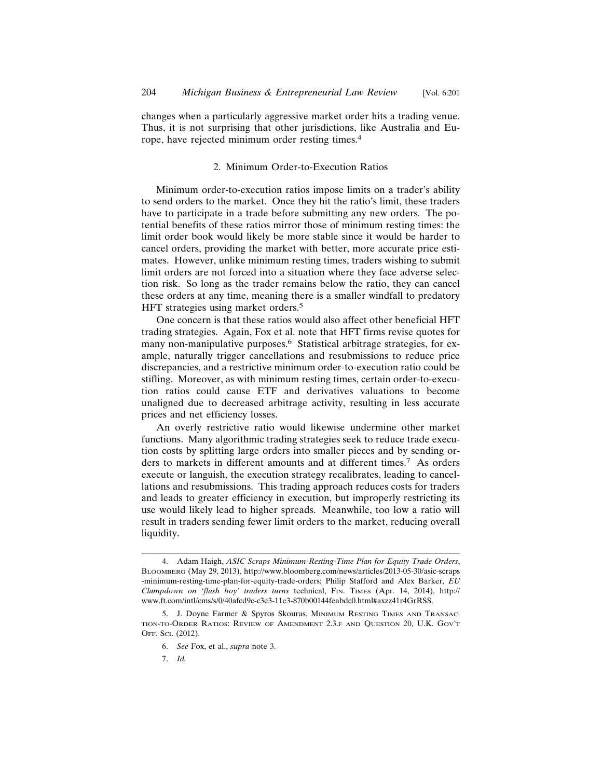changes when a particularly aggressive market order hits a trading venue. Thus, it is not surprising that other jurisdictions, like Australia and Europe, have rejected minimum order resting times.<sup>4</sup>

# 2. Minimum Order-to-Execution Ratios

Minimum order-to-execution ratios impose limits on a trader's ability to send orders to the market. Once they hit the ratio's limit, these traders have to participate in a trade before submitting any new orders. The potential benefits of these ratios mirror those of minimum resting times: the limit order book would likely be more stable since it would be harder to cancel orders, providing the market with better, more accurate price estimates. However, unlike minimum resting times, traders wishing to submit limit orders are not forced into a situation where they face adverse selection risk. So long as the trader remains below the ratio, they can cancel these orders at any time, meaning there is a smaller windfall to predatory HFT strategies using market orders.<sup>5</sup>

One concern is that these ratios would also affect other beneficial HFT trading strategies. Again, Fox et al. note that HFT firms revise quotes for many non-manipulative purposes.<sup>6</sup> Statistical arbitrage strategies, for example, naturally trigger cancellations and resubmissions to reduce price discrepancies, and a restrictive minimum order-to-execution ratio could be stifling. Moreover, as with minimum resting times, certain order-to-execution ratios could cause ETF and derivatives valuations to become unaligned due to decreased arbitrage activity, resulting in less accurate prices and net efficiency losses.

An overly restrictive ratio would likewise undermine other market functions. Many algorithmic trading strategies seek to reduce trade execution costs by splitting large orders into smaller pieces and by sending orders to markets in different amounts and at different times.7 As orders execute or languish, the execution strategy recalibrates, leading to cancellations and resubmissions. This trading approach reduces costs for traders and leads to greater efficiency in execution, but improperly restricting its use would likely lead to higher spreads. Meanwhile, too low a ratio will result in traders sending fewer limit orders to the market, reducing overall liquidity.

<sup>4.</sup> Adam Haigh, *ASIC Scraps Minimum-Resting-Time Plan for Equity Trade Orders*, BLOOMBERG (May 29, 2013), http://www.bloomberg.com/news/articles/2013-05-30/asic-scraps -minimum-resting-time-plan-for-equity-trade-orders; Philip Stafford and Alex Barker, *EU Clampdown on 'flash boy' traders turns* technical, FIN. TIMES (Apr. 14, 2014), http:// www.ft.com/intl/cms/s/0/40afcd9c-c3e3-11e3-870b00144feabdc0.html#axzz41r4GrRSS.

<sup>5.</sup> J. Doyne Farmer & Spyros Skouras, MINIMUM RESTING TIMES AND TRANSAC-TION-TO-ORDER RATIOS: REVIEW OF AMENDMENT 2.3.F AND QUESTION 20, U.K. GOV'T OFF. SCI. (2012).

<sup>6.</sup> *See* Fox, et al., *supra* note 3.

<sup>7.</sup> *Id.*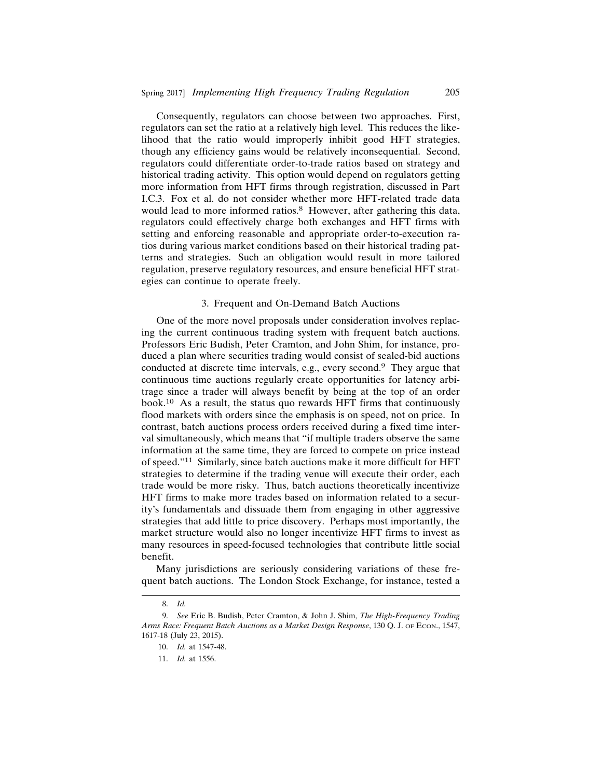Consequently, regulators can choose between two approaches. First, regulators can set the ratio at a relatively high level. This reduces the likelihood that the ratio would improperly inhibit good HFT strategies, though any efficiency gains would be relatively inconsequential. Second, regulators could differentiate order-to-trade ratios based on strategy and historical trading activity. This option would depend on regulators getting more information from HFT firms through registration, discussed in Part I.C.3. Fox et al. do not consider whether more HFT-related trade data would lead to more informed ratios.<sup>8</sup> However, after gathering this data, regulators could effectively charge both exchanges and HFT firms with setting and enforcing reasonable and appropriate order-to-execution ratios during various market conditions based on their historical trading patterns and strategies. Such an obligation would result in more tailored regulation, preserve regulatory resources, and ensure beneficial HFT strategies can continue to operate freely.

#### 3. Frequent and On-Demand Batch Auctions

One of the more novel proposals under consideration involves replacing the current continuous trading system with frequent batch auctions. Professors Eric Budish, Peter Cramton, and John Shim, for instance, produced a plan where securities trading would consist of sealed-bid auctions conducted at discrete time intervals, e.g., every second.9 They argue that continuous time auctions regularly create opportunities for latency arbitrage since a trader will always benefit by being at the top of an order book.10 As a result, the status quo rewards HFT firms that continuously flood markets with orders since the emphasis is on speed, not on price. In contrast, batch auctions process orders received during a fixed time interval simultaneously, which means that "if multiple traders observe the same information at the same time, they are forced to compete on price instead of speed."11 Similarly, since batch auctions make it more difficult for HFT strategies to determine if the trading venue will execute their order, each trade would be more risky. Thus, batch auctions theoretically incentivize HFT firms to make more trades based on information related to a security's fundamentals and dissuade them from engaging in other aggressive strategies that add little to price discovery. Perhaps most importantly, the market structure would also no longer incentivize HFT firms to invest as many resources in speed-focused technologies that contribute little social benefit.

Many jurisdictions are seriously considering variations of these frequent batch auctions. The London Stock Exchange, for instance, tested a

<sup>8.</sup> *Id.*

<sup>9.</sup> *See* Eric B. Budish, Peter Cramton, & John J. Shim, *The High-Frequency Trading Arms Race: Frequent Batch Auctions as a Market Design Response*, 130 Q. J. OF ECON., 1547, 1617-18 (July 23, 2015).

<sup>10.</sup> *Id.* at 1547-48.

<sup>11.</sup> *Id.* at 1556.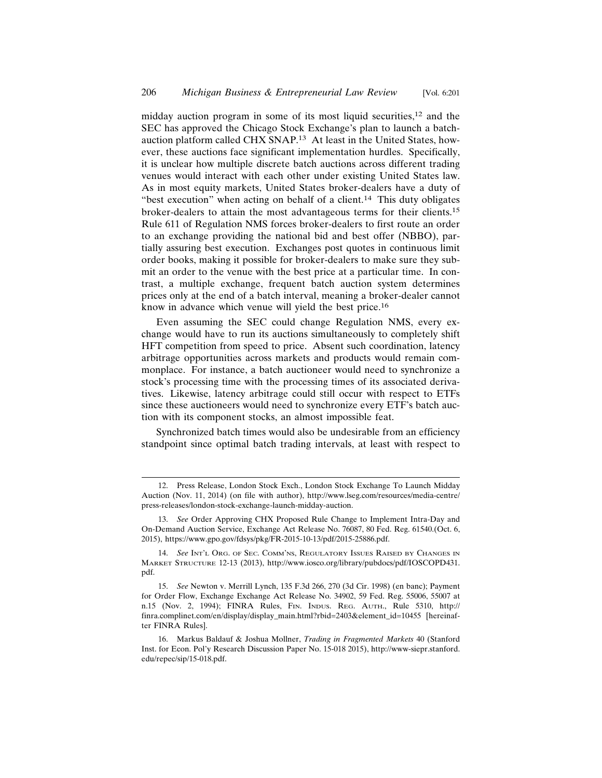midday auction program in some of its most liquid securities,  $12$  and the SEC has approved the Chicago Stock Exchange's plan to launch a batchauction platform called CHX SNAP.13 At least in the United States, however, these auctions face significant implementation hurdles. Specifically, it is unclear how multiple discrete batch auctions across different trading venues would interact with each other under existing United States law. As in most equity markets, United States broker-dealers have a duty of "best execution" when acting on behalf of a client.<sup>14</sup> This duty obligates broker-dealers to attain the most advantageous terms for their clients.<sup>15</sup> Rule 611 of Regulation NMS forces broker-dealers to first route an order to an exchange providing the national bid and best offer (NBBO), partially assuring best execution. Exchanges post quotes in continuous limit order books, making it possible for broker-dealers to make sure they submit an order to the venue with the best price at a particular time. In contrast, a multiple exchange, frequent batch auction system determines prices only at the end of a batch interval, meaning a broker-dealer cannot know in advance which venue will yield the best price.<sup>16</sup>

Even assuming the SEC could change Regulation NMS, every exchange would have to run its auctions simultaneously to completely shift HFT competition from speed to price. Absent such coordination, latency arbitrage opportunities across markets and products would remain commonplace. For instance, a batch auctioneer would need to synchronize a stock's processing time with the processing times of its associated derivatives. Likewise, latency arbitrage could still occur with respect to ETFs since these auctioneers would need to synchronize every ETF's batch auction with its component stocks, an almost impossible feat.

Synchronized batch times would also be undesirable from an efficiency standpoint since optimal batch trading intervals, at least with respect to

<sup>12.</sup> Press Release, London Stock Exch., London Stock Exchange To Launch Midday Auction (Nov. 11, 2014) (on file with author), http://www.lseg.com/resources/media-centre/ press-releases/london-stock-exchange-launch-midday-auction.

<sup>13.</sup> *See* Order Approving CHX Proposed Rule Change to Implement Intra-Day and On-Demand Auction Service, Exchange Act Release No. 76087, 80 Fed. Reg. 61540.(Oct. 6, 2015), https://www.gpo.gov/fdsys/pkg/FR-2015-10-13/pdf/2015-25886.pdf.

<sup>14.</sup> *See* INT'L ORG. OF SEC. COMM'NS, REGULATORY ISSUES RAISED BY CHANGES IN MARKET STRUCTURE 12-13 (2013), http://www.iosco.org/library/pubdocs/pdf/IOSCOPD431. pdf.

<sup>15.</sup> *See* Newton v. Merrill Lynch, 135 F.3d 266, 270 (3d Cir. 1998) (en banc); Payment for Order Flow, Exchange Exchange Act Release No. 34902, 59 Fed. Reg. 55006, 55007 at n.15 (Nov. 2, 1994); FINRA Rules, FIN. INDUS. REG. AUTH., Rule 5310, http:// finra.complinet.com/en/display/display\_main.html?rbid=2403&element\_id=10455 [hereinafter FINRA Rules].

<sup>16.</sup> Markus Baldauf & Joshua Mollner, *Trading in Fragmented Markets* 40 (Stanford Inst. for Econ. Pol'y Research Discussion Paper No. 15-018 2015), http://www-siepr.stanford. edu/repec/sip/15-018.pdf.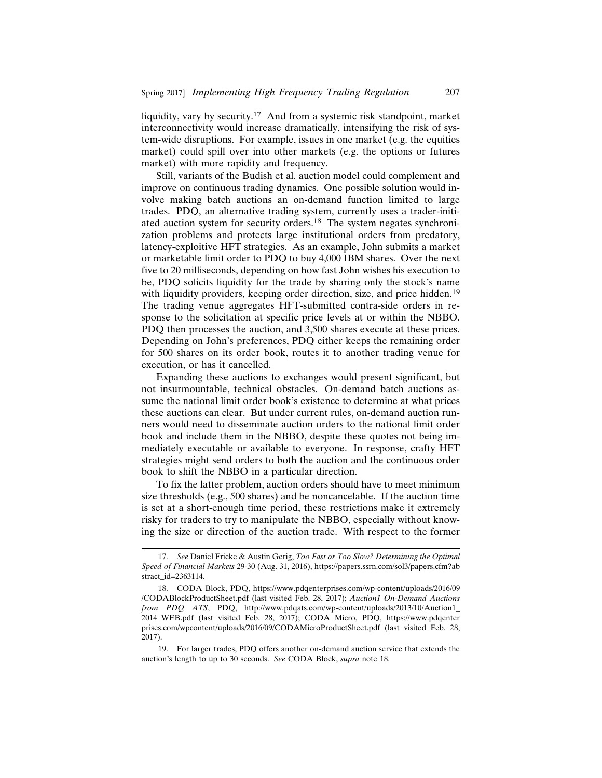liquidity, vary by security.17 And from a systemic risk standpoint, market interconnectivity would increase dramatically, intensifying the risk of system-wide disruptions. For example, issues in one market (e.g. the equities market) could spill over into other markets (e.g. the options or futures market) with more rapidity and frequency.

Still, variants of the Budish et al. auction model could complement and improve on continuous trading dynamics. One possible solution would involve making batch auctions an on-demand function limited to large trades. PDQ, an alternative trading system, currently uses a trader-initiated auction system for security orders.18 The system negates synchronization problems and protects large institutional orders from predatory, latency-exploitive HFT strategies. As an example, John submits a market or marketable limit order to PDQ to buy 4,000 IBM shares. Over the next five to 20 milliseconds, depending on how fast John wishes his execution to be, PDQ solicits liquidity for the trade by sharing only the stock's name with liquidity providers, keeping order direction, size, and price hidden.<sup>19</sup> The trading venue aggregates HFT-submitted contra-side orders in response to the solicitation at specific price levels at or within the NBBO. PDQ then processes the auction, and 3,500 shares execute at these prices. Depending on John's preferences, PDQ either keeps the remaining order for 500 shares on its order book, routes it to another trading venue for execution, or has it cancelled.

Expanding these auctions to exchanges would present significant, but not insurmountable, technical obstacles. On-demand batch auctions assume the national limit order book's existence to determine at what prices these auctions can clear. But under current rules, on-demand auction runners would need to disseminate auction orders to the national limit order book and include them in the NBBO, despite these quotes not being immediately executable or available to everyone. In response, crafty HFT strategies might send orders to both the auction and the continuous order book to shift the NBBO in a particular direction.

To fix the latter problem, auction orders should have to meet minimum size thresholds (e.g., 500 shares) and be noncancelable. If the auction time is set at a short-enough time period, these restrictions make it extremely risky for traders to try to manipulate the NBBO, especially without knowing the size or direction of the auction trade. With respect to the former

<sup>17.</sup> *See* Daniel Fricke & Austin Gerig, *Too Fast or Too Slow? Determining the Optimal Speed of Financial Markets* 29-30 (Aug. 31, 2016), https://papers.ssrn.com/sol3/papers.cfm?ab stract\_id=2363114.

<sup>18.</sup> CODA Block, PDQ, https://www.pdqenterprises.com/wp-content/uploads/2016/09 /CODABlockProductSheet.pdf (last visited Feb. 28, 2017); *Auction1 On-Demand Auctions from PDQ ATS*, PDQ, http://www.pdqats.com/wp-content/uploads/2013/10/Auction1\_ 2014\_WEB.pdf (last visited Feb. 28, 2017); CODA Micro, PDQ, https://www.pdqenter prises.com/wpcontent/uploads/2016/09/CODAMicroProductSheet.pdf (last visited Feb. 28, 2017).

<sup>19.</sup> For larger trades, PDQ offers another on-demand auction service that extends the auction's length to up to 30 seconds. *See* CODA Block, *supra* note 18.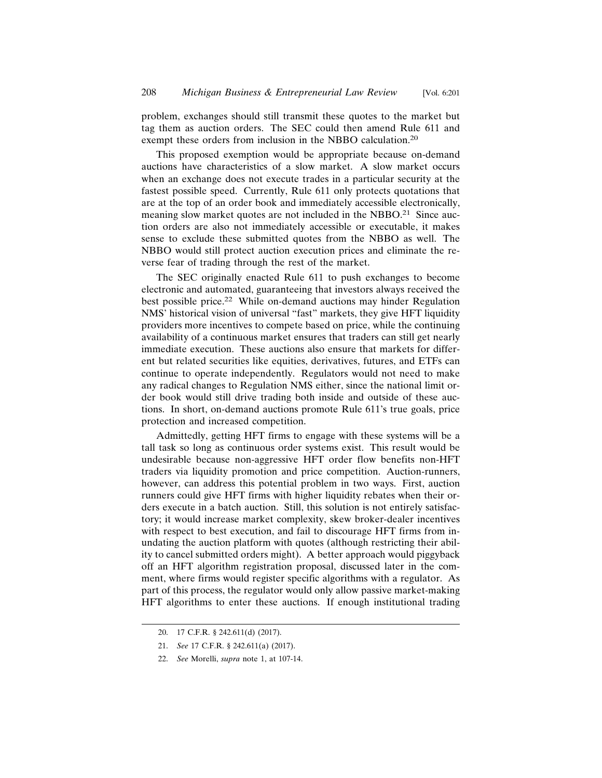problem, exchanges should still transmit these quotes to the market but tag them as auction orders. The SEC could then amend Rule 611 and exempt these orders from inclusion in the NBBO calculation.<sup>20</sup>

This proposed exemption would be appropriate because on-demand auctions have characteristics of a slow market. A slow market occurs when an exchange does not execute trades in a particular security at the fastest possible speed. Currently, Rule 611 only protects quotations that are at the top of an order book and immediately accessible electronically, meaning slow market quotes are not included in the NBBO.<sup>21</sup> Since auction orders are also not immediately accessible or executable, it makes sense to exclude these submitted quotes from the NBBO as well. The NBBO would still protect auction execution prices and eliminate the reverse fear of trading through the rest of the market.

The SEC originally enacted Rule 611 to push exchanges to become electronic and automated, guaranteeing that investors always received the best possible price.<sup>22</sup> While on-demand auctions may hinder Regulation NMS' historical vision of universal "fast" markets, they give HFT liquidity providers more incentives to compete based on price, while the continuing availability of a continuous market ensures that traders can still get nearly immediate execution. These auctions also ensure that markets for different but related securities like equities, derivatives, futures, and ETFs can continue to operate independently. Regulators would not need to make any radical changes to Regulation NMS either, since the national limit order book would still drive trading both inside and outside of these auctions. In short, on-demand auctions promote Rule 611's true goals, price protection and increased competition.

Admittedly, getting HFT firms to engage with these systems will be a tall task so long as continuous order systems exist. This result would be undesirable because non-aggressive HFT order flow benefits non-HFT traders via liquidity promotion and price competition. Auction-runners, however, can address this potential problem in two ways. First, auction runners could give HFT firms with higher liquidity rebates when their orders execute in a batch auction. Still, this solution is not entirely satisfactory; it would increase market complexity, skew broker-dealer incentives with respect to best execution, and fail to discourage HFT firms from inundating the auction platform with quotes (although restricting their ability to cancel submitted orders might). A better approach would piggyback off an HFT algorithm registration proposal, discussed later in the comment, where firms would register specific algorithms with a regulator. As part of this process, the regulator would only allow passive market-making HFT algorithms to enter these auctions. If enough institutional trading

<sup>20. 17</sup> C.F.R. § 242.611(d) (2017).

<sup>21.</sup> *See* 17 C.F.R. § 242.611(a) (2017).

<sup>22.</sup> *See* Morelli, *supra* note 1, at 107-14.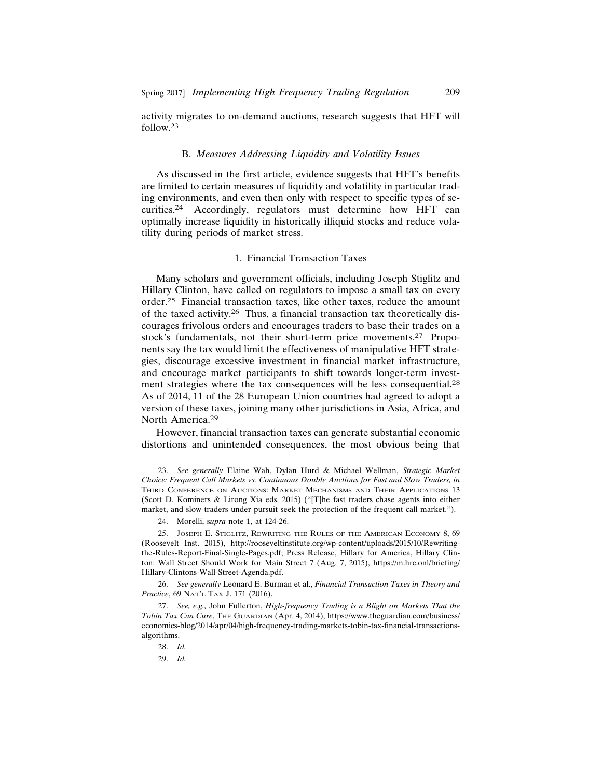activity migrates to on-demand auctions, research suggests that HFT will follow.23

#### B. *Measures Addressing Liquidity and Volatility Issues*

As discussed in the first article, evidence suggests that HFT's benefits are limited to certain measures of liquidity and volatility in particular trading environments, and even then only with respect to specific types of securities.24 Accordingly, regulators must determine how HFT can optimally increase liquidity in historically illiquid stocks and reduce volatility during periods of market stress.

# 1. Financial Transaction Taxes

Many scholars and government officials, including Joseph Stiglitz and Hillary Clinton, have called on regulators to impose a small tax on every order.25 Financial transaction taxes, like other taxes, reduce the amount of the taxed activity.26 Thus, a financial transaction tax theoretically discourages frivolous orders and encourages traders to base their trades on a stock's fundamentals, not their short-term price movements.27 Proponents say the tax would limit the effectiveness of manipulative HFT strategies, discourage excessive investment in financial market infrastructure, and encourage market participants to shift towards longer-term investment strategies where the tax consequences will be less consequential.<sup>28</sup> As of 2014, 11 of the 28 European Union countries had agreed to adopt a version of these taxes, joining many other jurisdictions in Asia, Africa, and North America.<sup>29</sup>

However, financial transaction taxes can generate substantial economic distortions and unintended consequences, the most obvious being that

<sup>23.</sup> *See generally* Elaine Wah, Dylan Hurd & Michael Wellman, *Strategic Market Choice: Frequent Call Markets vs. Continuous Double Auctions for Fast and Slow Traders, in* THIRD CONFERENCE ON AUCTIONS: MARKET MECHANISMS AND THEIR APPLICATIONS 13 (Scott D. Kominers & Lirong Xia eds. 2015) ("[T]he fast traders chase agents into either market, and slow traders under pursuit seek the protection of the frequent call market.").

<sup>24.</sup> Morelli, s*upra* note 1, at 124-26.

<sup>25.</sup> JOSEPH E. STIGLITZ, REWRITING THE RULES OF THE AMERICAN ECONOMY 8, 69 (Roosevelt Inst. 2015), http://rooseveltinstitute.org/wp-content/uploads/2015/10/Rewritingthe-Rules-Report-Final-Single-Pages.pdf; Press Release, Hillary for America, Hillary Clinton: Wall Street Should Work for Main Street 7 (Aug. 7, 2015), https://m.hrc.onl/briefing/ Hillary-Clintons-Wall-Street-Agenda.pdf.

<sup>26.</sup> *See generally* Leonard E. Burman et al., *Financial Transaction Taxes in Theory and Practice*, 69 NAT'L TAX J. 171 (2016).

<sup>27.</sup> *See, e.g.,* John Fullerton, *High-frequency Trading is a Blight on Markets That the Tobin Tax Can Cure*, THE GUARDIAN (Apr. 4, 2014), https://www.theguardian.com/business/ economics-blog/2014/apr/04/high-frequency-trading-markets-tobin-tax-financial-transactionsalgorithms.

<sup>28.</sup> *Id.*

<sup>29.</sup> *Id.*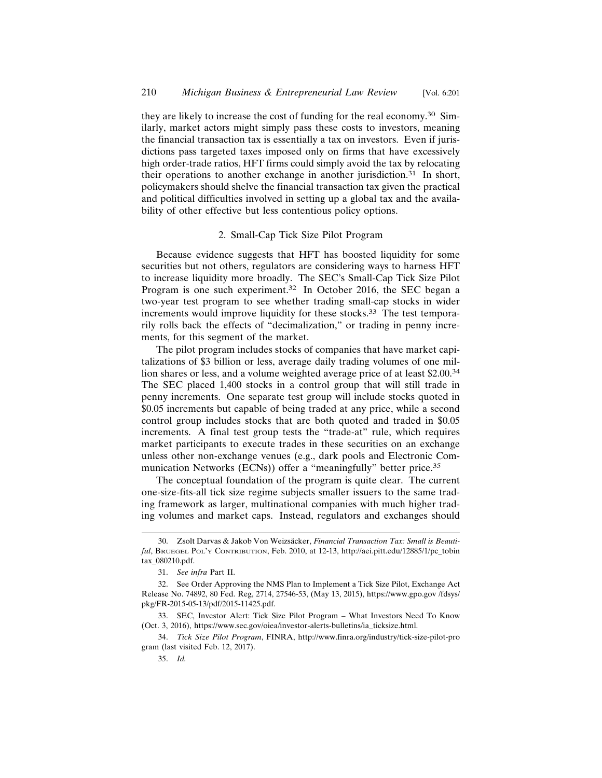they are likely to increase the cost of funding for the real economy.30 Similarly, market actors might simply pass these costs to investors, meaning the financial transaction tax is essentially a tax on investors. Even if jurisdictions pass targeted taxes imposed only on firms that have excessively high order-trade ratios, HFT firms could simply avoid the tax by relocating their operations to another exchange in another jurisdiction.<sup>31</sup> In short, policymakers should shelve the financial transaction tax given the practical and political difficulties involved in setting up a global tax and the availability of other effective but less contentious policy options.

## 2. Small-Cap Tick Size Pilot Program

Because evidence suggests that HFT has boosted liquidity for some securities but not others, regulators are considering ways to harness HFT to increase liquidity more broadly. The SEC's Small-Cap Tick Size Pilot Program is one such experiment.32 In October 2016, the SEC began a two-year test program to see whether trading small-cap stocks in wider increments would improve liquidity for these stocks.<sup>33</sup> The test temporarily rolls back the effects of "decimalization," or trading in penny increments, for this segment of the market.

The pilot program includes stocks of companies that have market capitalizations of \$3 billion or less, average daily trading volumes of one million shares or less, and a volume weighted average price of at least \$2.00.<sup>34</sup> The SEC placed 1,400 stocks in a control group that will still trade in penny increments. One separate test group will include stocks quoted in \$0.05 increments but capable of being traded at any price, while a second control group includes stocks that are both quoted and traded in \$0.05 increments. A final test group tests the "trade-at" rule, which requires market participants to execute trades in these securities on an exchange unless other non-exchange venues (e.g., dark pools and Electronic Communication Networks (ECNs)) offer a "meaningfully" better price.<sup>35</sup>

The conceptual foundation of the program is quite clear. The current one-size-fits-all tick size regime subjects smaller issuers to the same trading framework as larger, multinational companies with much higher trading volumes and market caps. Instead, regulators and exchanges should

<sup>30.</sup> Zsolt Darvas & Jakob Von Weizsäcker, *Financial Transaction Tax: Small is Beautiful*, BRUEGEL POL'Y CONTRIBUTION, Feb. 2010, at 12-13, http://aei.pitt.edu/12885/1/pc\_tobin tax\_080210.pdf.

<sup>31.</sup> *See infra* Part II.

<sup>32.</sup> See Order Approving the NMS Plan to Implement a Tick Size Pilot, Exchange Act Release No. 74892, 80 Fed. Reg, 2714, 27546-53, (May 13, 2015), https://www.gpo.gov /fdsys/ pkg/FR-2015-05-13/pdf/2015-11425.pdf.

<sup>33.</sup> SEC, Investor Alert: Tick Size Pilot Program – What Investors Need To Know (Oct. 3, 2016), https://www.sec.gov/oiea/investor-alerts-bulletins/ia\_ticksize.html.

<sup>34.</sup> *Tick Size Pilot Program*, FINRA, http://www.finra.org/industry/tick-size-pilot-pro gram (last visited Feb. 12, 2017).

<sup>35.</sup> *Id.*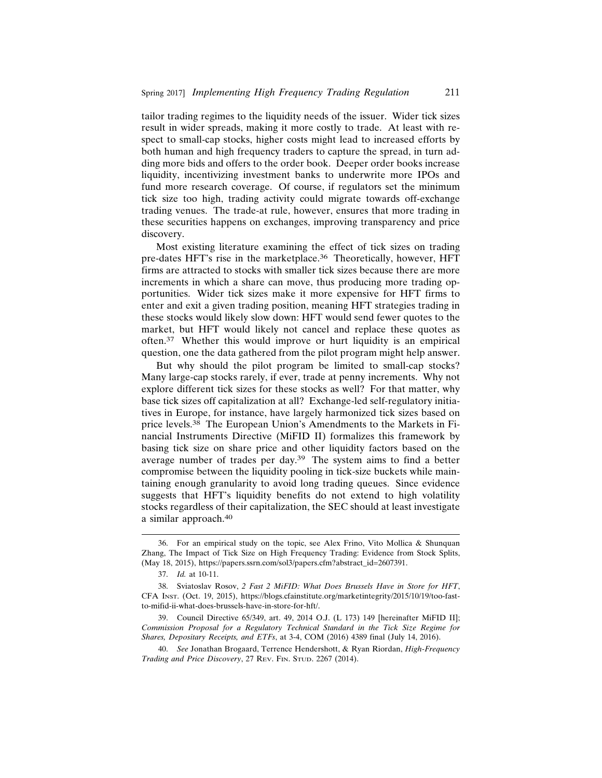tailor trading regimes to the liquidity needs of the issuer. Wider tick sizes result in wider spreads, making it more costly to trade. At least with respect to small-cap stocks, higher costs might lead to increased efforts by both human and high frequency traders to capture the spread, in turn adding more bids and offers to the order book. Deeper order books increase liquidity, incentivizing investment banks to underwrite more IPOs and fund more research coverage. Of course, if regulators set the minimum tick size too high, trading activity could migrate towards off-exchange trading venues. The trade-at rule, however, ensures that more trading in these securities happens on exchanges, improving transparency and price discovery.

Most existing literature examining the effect of tick sizes on trading pre-dates HFT's rise in the marketplace.<sup>36</sup> Theoretically, however, HFT firms are attracted to stocks with smaller tick sizes because there are more increments in which a share can move, thus producing more trading opportunities. Wider tick sizes make it more expensive for HFT firms to enter and exit a given trading position, meaning HFT strategies trading in these stocks would likely slow down: HFT would send fewer quotes to the market, but HFT would likely not cancel and replace these quotes as often.37 Whether this would improve or hurt liquidity is an empirical question, one the data gathered from the pilot program might help answer.

But why should the pilot program be limited to small-cap stocks? Many large-cap stocks rarely, if ever, trade at penny increments. Why not explore different tick sizes for these stocks as well? For that matter, why base tick sizes off capitalization at all? Exchange-led self-regulatory initiatives in Europe, for instance, have largely harmonized tick sizes based on price levels.38 The European Union's Amendments to the Markets in Financial Instruments Directive (MiFID II) formalizes this framework by basing tick size on share price and other liquidity factors based on the average number of trades per day.39 The system aims to find a better compromise between the liquidity pooling in tick-size buckets while maintaining enough granularity to avoid long trading queues. Since evidence suggests that HFT's liquidity benefits do not extend to high volatility stocks regardless of their capitalization, the SEC should at least investigate a similar approach.<sup>40</sup>

<sup>36.</sup> For an empirical study on the topic, see Alex Frino, Vito Mollica & Shunquan Zhang, The Impact of Tick Size on High Frequency Trading: Evidence from Stock Splits, (May 18, 2015), https://papers.ssrn.com/sol3/papers.cfm?abstract\_id=2607391.

<sup>37.</sup> *Id.* at 10-11.

<sup>38.</sup> Sviatoslav Rosov, *2 Fast 2 MiFID: What Does Brussels Have in Store for HFT*, CFA INST. (Oct. 19, 2015), https://blogs.cfainstitute.org/marketintegrity/2015/10/19/too-fastto-mifid-ii-what-does-brussels-have-in-store-for-hft/.

<sup>39.</sup> Council Directive 65/349, art. 49, 2014 O.J. (L 173) 149 [hereinafter MiFID II]; *Commission Proposal for a Regulatory Technical Standard in the Tick Size Regime for Shares, Depositary Receipts, and ETFs*, at 3-4, COM (2016) 4389 final (July 14, 2016).

<sup>40.</sup> *See* Jonathan Brogaard, Terrence Hendershott, & Ryan Riordan, *High-Frequency Trading and Price Discovery*, 27 REV. FIN. STUD. 2267 (2014).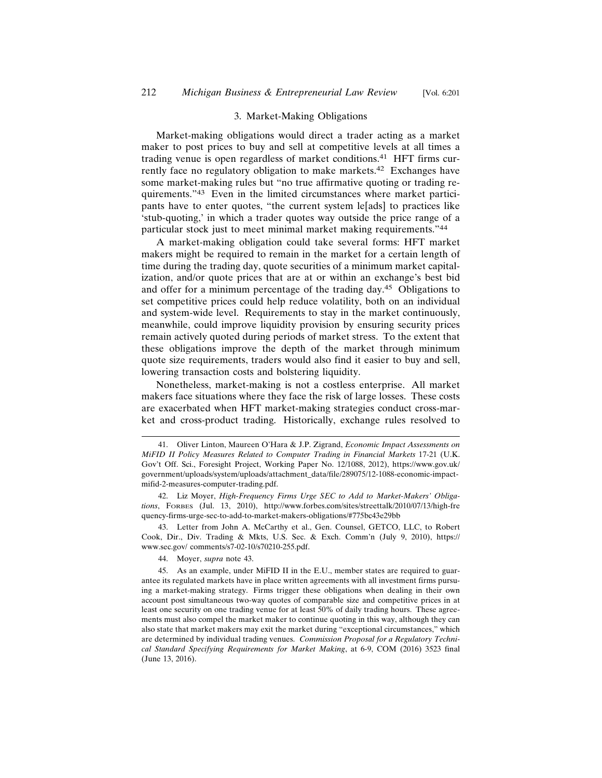#### 3. Market-Making Obligations

Market-making obligations would direct a trader acting as a market maker to post prices to buy and sell at competitive levels at all times a trading venue is open regardless of market conditions.<sup>41</sup> HFT firms currently face no regulatory obligation to make markets.<sup>42</sup> Exchanges have some market-making rules but "no true affirmative quoting or trading requirements."43 Even in the limited circumstances where market participants have to enter quotes, "the current system le[ads] to practices like 'stub-quoting,' in which a trader quotes way outside the price range of a particular stock just to meet minimal market making requirements."<sup>44</sup>

A market-making obligation could take several forms: HFT market makers might be required to remain in the market for a certain length of time during the trading day, quote securities of a minimum market capitalization, and/or quote prices that are at or within an exchange's best bid and offer for a minimum percentage of the trading day.45 Obligations to set competitive prices could help reduce volatility, both on an individual and system-wide level. Requirements to stay in the market continuously, meanwhile, could improve liquidity provision by ensuring security prices remain actively quoted during periods of market stress. To the extent that these obligations improve the depth of the market through minimum quote size requirements, traders would also find it easier to buy and sell, lowering transaction costs and bolstering liquidity.

Nonetheless, market-making is not a costless enterprise. All market makers face situations where they face the risk of large losses. These costs are exacerbated when HFT market-making strategies conduct cross-market and cross-product trading. Historically, exchange rules resolved to

44. Moyer, *supra* note 43.

<sup>41.</sup> Oliver Linton, Maureen O'Hara & J.P. Zigrand, *Economic Impact Assessments on MiFID II Policy Measures Related to Computer Trading in Financial Markets* 17-21 (U.K. Gov't Off. Sci., Foresight Project, Working Paper No. 12/1088, 2012), https://www.gov.uk/ government/uploads/system/uploads/attachment\_data/file/289075/12-1088-economic-impactmifid-2-measures-computer-trading.pdf.

<sup>42.</sup> Liz Moyer, *High-Frequency Firms Urge SEC to Add to Market-Makers' Obligations*, FORBES (Jul. 13, 2010), http://www.forbes.com/sites/streettalk/2010/07/13/high-fre quency-firms-urge-sec-to-add-to-market-makers-obligations/#775bc43e29bb

<sup>43.</sup> Letter from John A. McCarthy et al., Gen. Counsel, GETCO, LLC, to Robert Cook, Dir., Div. Trading & Mkts, U.S. Sec. & Exch. Comm'n (July 9, 2010), https:// www.sec.gov/ comments/s7-02-10/s70210-255.pdf.

<sup>45.</sup> As an example, under MiFID II in the E.U., member states are required to guarantee its regulated markets have in place written agreements with all investment firms pursuing a market-making strategy. Firms trigger these obligations when dealing in their own account post simultaneous two-way quotes of comparable size and competitive prices in at least one security on one trading venue for at least 50% of daily trading hours. These agreements must also compel the market maker to continue quoting in this way, although they can also state that market makers may exit the market during "exceptional circumstances," which are determined by individual trading venues. *Commission Proposal for a Regulatory Technical Standard Specifying Requirements for Market Making*, at 6-9, COM (2016) 3523 final (June 13, 2016).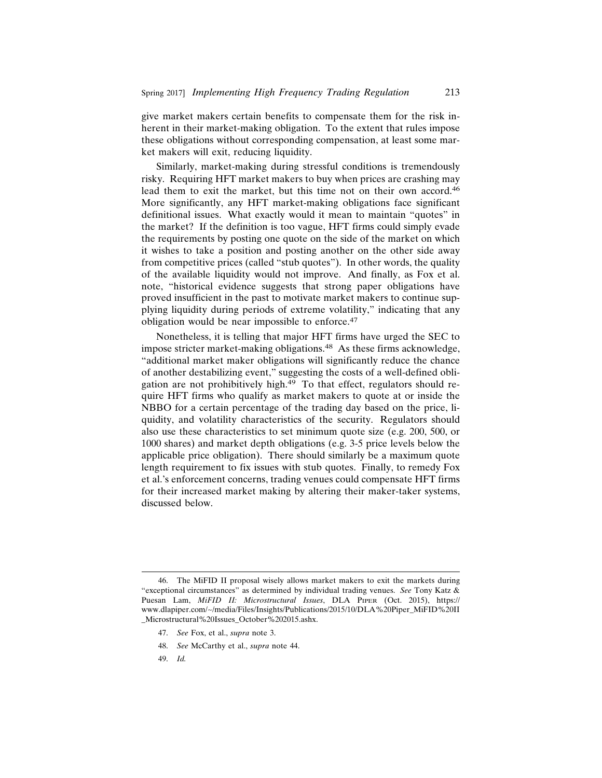give market makers certain benefits to compensate them for the risk inherent in their market-making obligation. To the extent that rules impose these obligations without corresponding compensation, at least some market makers will exit, reducing liquidity.

Similarly, market-making during stressful conditions is tremendously risky. Requiring HFT market makers to buy when prices are crashing may lead them to exit the market, but this time not on their own accord.<sup>46</sup> More significantly, any HFT market-making obligations face significant definitional issues. What exactly would it mean to maintain "quotes" in the market? If the definition is too vague, HFT firms could simply evade the requirements by posting one quote on the side of the market on which it wishes to take a position and posting another on the other side away from competitive prices (called "stub quotes"). In other words, the quality of the available liquidity would not improve. And finally, as Fox et al. note, "historical evidence suggests that strong paper obligations have proved insufficient in the past to motivate market makers to continue supplying liquidity during periods of extreme volatility," indicating that any obligation would be near impossible to enforce.<sup>47</sup>

Nonetheless, it is telling that major HFT firms have urged the SEC to impose stricter market-making obligations.<sup>48</sup> As these firms acknowledge, "additional market maker obligations will significantly reduce the chance of another destabilizing event," suggesting the costs of a well-defined obligation are not prohibitively high.<sup>49</sup> To that effect, regulators should require HFT firms who qualify as market makers to quote at or inside the NBBO for a certain percentage of the trading day based on the price, liquidity, and volatility characteristics of the security. Regulators should also use these characteristics to set minimum quote size (e.g. 200, 500, or 1000 shares) and market depth obligations (e.g. 3-5 price levels below the applicable price obligation). There should similarly be a maximum quote length requirement to fix issues with stub quotes. Finally, to remedy Fox et al.'s enforcement concerns, trading venues could compensate HFT firms for their increased market making by altering their maker-taker systems, discussed below.

49. *Id.*

<sup>46.</sup> The MiFID II proposal wisely allows market makers to exit the markets during "exceptional circumstances" as determined by individual trading venues. *See* Tony Katz & Puesan Lam, *MiFID II: Microstructural Issues*, DLA PIPER (Oct. 2015), https:// www.dlapiper.com/~/media/Files/Insights/Publications/2015/10/DLA%20Piper\_MiFID%20II \_Microstructural%20Issues\_October%202015.ashx.

<sup>47.</sup> *See* Fox, et al., *supra* note 3.

<sup>48.</sup> *See* McCarthy et al., *supra* note 44.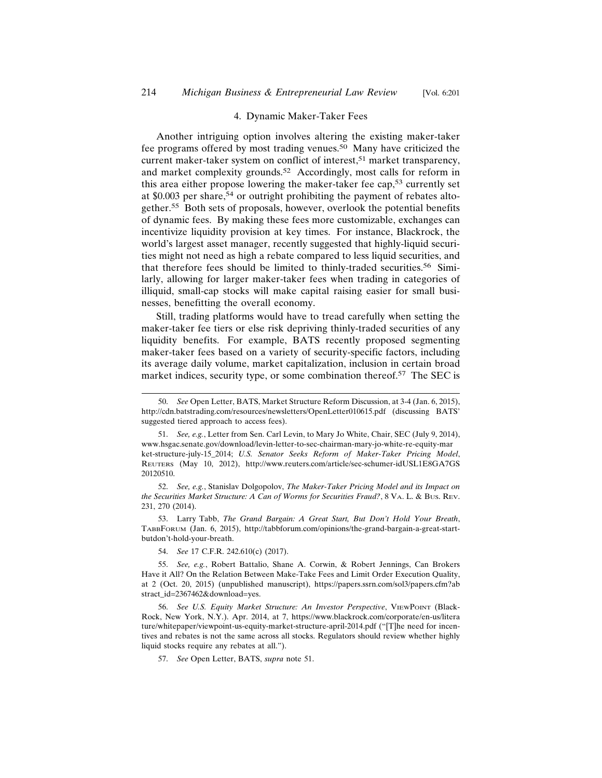## 4. Dynamic Maker-Taker Fees

Another intriguing option involves altering the existing maker-taker fee programs offered by most trading venues.50 Many have criticized the current maker-taker system on conflict of interest,<sup>51</sup> market transparency, and market complexity grounds.52 Accordingly, most calls for reform in this area either propose lowering the maker-taker fee cap,53 currently set at  $$0.003$  per share,<sup>54</sup> or outright prohibiting the payment of rebates altogether.55 Both sets of proposals, however, overlook the potential benefits of dynamic fees. By making these fees more customizable, exchanges can incentivize liquidity provision at key times. For instance, Blackrock, the world's largest asset manager, recently suggested that highly-liquid securities might not need as high a rebate compared to less liquid securities, and that therefore fees should be limited to thinly-traded securities.56 Similarly, allowing for larger maker-taker fees when trading in categories of illiquid, small-cap stocks will make capital raising easier for small businesses, benefitting the overall economy.

Still, trading platforms would have to tread carefully when setting the maker-taker fee tiers or else risk depriving thinly-traded securities of any liquidity benefits. For example, BATS recently proposed segmenting maker-taker fees based on a variety of security-specific factors, including its average daily volume, market capitalization, inclusion in certain broad market indices, security type, or some combination thereof.57 The SEC is

52. *See, e.g.*, Stanislav Dolgopolov, *The Maker-Taker Pricing Model and its Impact on the Securities Market Structure: A Can of Worms for Securities Fraud?*, 8 VA. L. & BUS. REV. 231, 270 (2014).

53. Larry Tabb, *The Grand Bargain: A Great Start, But Don't Hold Your Breath*, TABBFORUM (Jan. 6, 2015), http://tabbforum.com/opinions/the-grand-bargain-a-great-startbutdon't-hold-your-breath.

54. *See* 17 C.F.R. 242.610(c) (2017).

56. *See U.S. Equity Market Structure: An Investor Perspective*, VIEWPOINT (Black-Rock, New York, N.Y.). Apr. 2014, at 7, https://www.blackrock.com/corporate/en-us/litera ture/whitepaper/viewpoint-us-equity-market-structure-april-2014.pdf ("[T]he need for incentives and rebates is not the same across all stocks. Regulators should review whether highly liquid stocks require any rebates at all.").

57. *See* Open Letter, BATS, *supra* note 51.

<sup>50.</sup> *See* Open Letter, BATS, Market Structure Reform Discussion, at 3-4 (Jan. 6, 2015), http://cdn.batstrading.com/resources/newsletters/OpenLetter010615.pdf (discussing BATS' suggested tiered approach to access fees).

<sup>51.</sup> *See, e.g.*, Letter from Sen. Carl Levin, to Mary Jo White, Chair, SEC (July 9, 2014), www.hsgac.senate.gov/download/levin-letter-to-sec-chairman-mary-jo-white-re-equity-mar ket-structure-july-15\_2014; *U.S. Senator Seeks Reform of Maker-Taker Pricing Model*, REUTERS (May 10, 2012), http://www.reuters.com/article/sec-schumer-idUSL1E8GA7GS 20120510.

<sup>55.</sup> *See, e.g.*, Robert Battalio, Shane A. Corwin, & Robert Jennings, Can Brokers Have it All? On the Relation Between Make-Take Fees and Limit Order Execution Quality, at 2 (Oct. 20, 2015) (unpublished manuscript), https://papers.ssrn.com/sol3/papers.cfm?ab stract\_id=2367462&download=yes.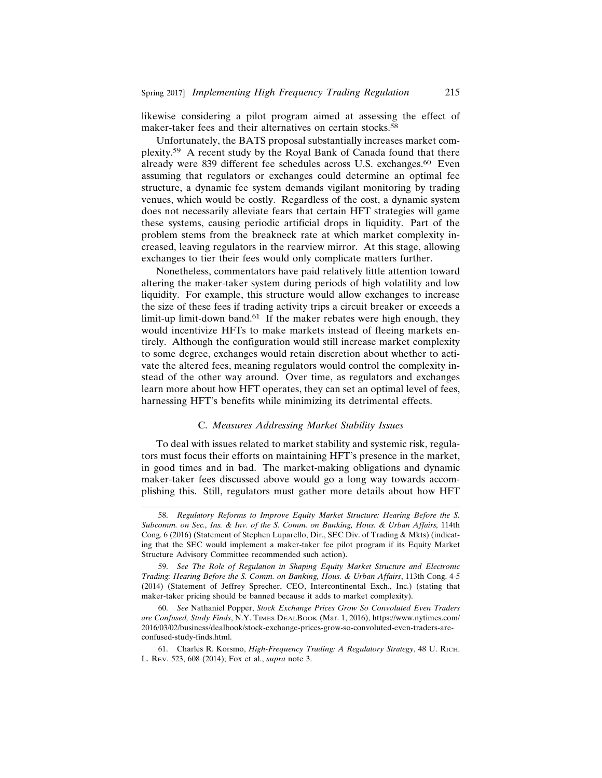likewise considering a pilot program aimed at assessing the effect of maker-taker fees and their alternatives on certain stocks.<sup>58</sup>

Unfortunately, the BATS proposal substantially increases market complexity.59 A recent study by the Royal Bank of Canada found that there already were 839 different fee schedules across U.S. exchanges.<sup>60</sup> Even assuming that regulators or exchanges could determine an optimal fee structure, a dynamic fee system demands vigilant monitoring by trading venues, which would be costly. Regardless of the cost, a dynamic system does not necessarily alleviate fears that certain HFT strategies will game these systems, causing periodic artificial drops in liquidity. Part of the problem stems from the breakneck rate at which market complexity increased, leaving regulators in the rearview mirror. At this stage, allowing exchanges to tier their fees would only complicate matters further.

Nonetheless, commentators have paid relatively little attention toward altering the maker-taker system during periods of high volatility and low liquidity. For example, this structure would allow exchanges to increase the size of these fees if trading activity trips a circuit breaker or exceeds a limit-up limit-down band.<sup>61</sup> If the maker rebates were high enough, they would incentivize HFTs to make markets instead of fleeing markets entirely. Although the configuration would still increase market complexity to some degree, exchanges would retain discretion about whether to activate the altered fees, meaning regulators would control the complexity instead of the other way around. Over time, as regulators and exchanges learn more about how HFT operates, they can set an optimal level of fees, harnessing HFT's benefits while minimizing its detrimental effects.

# C. *Measures Addressing Market Stability Issues*

To deal with issues related to market stability and systemic risk, regulators must focus their efforts on maintaining HFT's presence in the market, in good times and in bad. The market-making obligations and dynamic maker-taker fees discussed above would go a long way towards accomplishing this. Still, regulators must gather more details about how HFT

<sup>58.</sup> *Regulatory Reforms to Improve Equity Market Structure: Hearing Before the S.* Subcomm. on Sec., Ins. & Inv. of the S. Comm. on Banking, Hous. & Urban Affairs, 114th Cong. 6 (2016) (Statement of Stephen Luparello, Dir., SEC Div. of Trading & Mkts) (indicating that the SEC would implement a maker-taker fee pilot program if its Equity Market Structure Advisory Committee recommended such action).

<sup>59.</sup> *See The Role of Regulation in Shaping Equity Market Structure and Electronic Trading: Hearing Before the S. Comm. on Banking, Hous. & Urban Affairs*, 113th Cong. 4-5 (2014) (Statement of Jeffrey Sprecher, CEO, Intercontinental Exch., Inc.) (stating that maker-taker pricing should be banned because it adds to market complexity).

<sup>60.</sup> *See* Nathaniel Popper, *Stock Exchange Prices Grow So Convoluted Even Traders are Confused, Study Finds*, N.Y. TIMES DEALBOOK (Mar. 1, 2016), https://www.nytimes.com/ 2016/03/02/business/dealbook/stock-exchange-prices-grow-so-convoluted-even-traders-areconfused-study-finds.html.

<sup>61.</sup> Charles R. Korsmo, *High-Frequency Trading: A Regulatory Strategy*, 48 U. RICH. L. REV. 523, 608 (2014); Fox et al., *supra* note 3.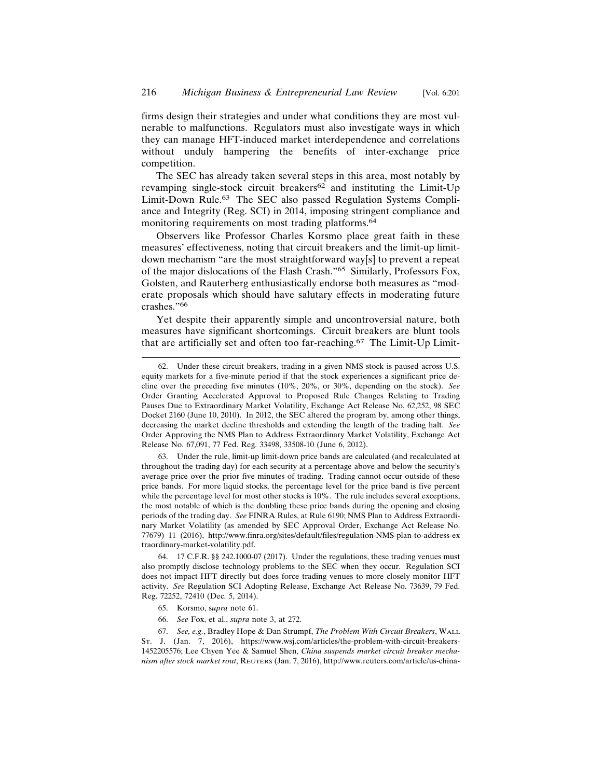firms design their strategies and under what conditions they are most vulnerable to malfunctions. Regulators must also investigate ways in which they can manage HFT-induced market interdependence and correlations without unduly hampering the benefits of inter-exchange price competition.

The SEC has already taken several steps in this area, most notably by revamping single-stock circuit breakers<sup>62</sup> and instituting the Limit-Up Limit-Down Rule.63 The SEC also passed Regulation Systems Compliance and Integrity (Reg. SCI) in 2014, imposing stringent compliance and monitoring requirements on most trading platforms.<sup>64</sup>

Observers like Professor Charles Korsmo place great faith in these measures' effectiveness, noting that circuit breakers and the limit-up limitdown mechanism "are the most straightforward way[s] to prevent a repeat of the major dislocations of the Flash Crash."65 Similarly, Professors Fox, Golsten, and Rauterberg enthusiastically endorse both measures as "moderate proposals which should have salutary effects in moderating future crashes."66

Yet despite their apparently simple and uncontroversial nature, both measures have significant shortcomings. Circuit breakers are blunt tools that are artificially set and often too far-reaching.<sup>67</sup> The Limit-Up Limit-

63. Under the rule, limit-up limit-down price bands are calculated (and recalculated at throughout the trading day) for each security at a percentage above and below the security's average price over the prior five minutes of trading. Trading cannot occur outside of these price bands. For more liquid stocks, the percentage level for the price band is five percent while the percentage level for most other stocks is 10%. The rule includes several exceptions, the most notable of which is the doubling these price bands during the opening and closing periods of the trading day. *See* FINRA Rules, at Rule 6190; NMS Plan to Address Extraordinary Market Volatility (as amended by SEC Approval Order, Exchange Act Release No. 77679) 11 (2016), http://www.finra.org/sites/default/files/regulation-NMS-plan-to-address-ex traordinary-market-volatility.pdf.

64. 17 C.F.R. §§ 242.1000-07 (2017). Under the regulations, these trading venues must also promptly disclose technology problems to the SEC when they occur. Regulation SCI does not impact HFT directly but does force trading venues to more closely monitor HFT activity. *See* Regulation SCI Adopting Release, Exchange Act Release No. 73639, 79 Fed. Reg. 72252, 72410 (Dec. 5, 2014).

- 65. Korsmo, s*upra* note 61.
- 66. *See* Fox, et al., *supra* note 3, at 272.

67. *See, e.g.*, Bradley Hope & Dan Strumpf, *The Problem With Circuit Breakers*, WALL ST. J. (Jan. 7, 2016), https://www.wsj.com/articles/the-problem-with-circuit-breakers-1452205576; Lee Chyen Yee & Samuel Shen, *China suspends market circuit breaker mechanism after stock market rout*, REUTERS (Jan. 7, 2016), http://www.reuters.com/article/us-china-

<sup>62.</sup> Under these circuit breakers, trading in a given NMS stock is paused across U.S. equity markets for a five-minute period if that the stock experiences a significant price decline over the preceding five minutes (10%, 20%, or 30%, depending on the stock). *See* Order Granting Accelerated Approval to Proposed Rule Changes Relating to Trading Pauses Due to Extraordinary Market Volatility, Exchange Act Release No. 62,252, 98 SEC Docket 2160 (June 10, 2010). In 2012, the SEC altered the program by, among other things, decreasing the market decline thresholds and extending the length of the trading halt. *See* Order Approving the NMS Plan to Address Extraordinary Market Volatility, Exchange Act Release No. 67,091, 77 Fed. Reg. 33498, 33508-10 (June 6, 2012).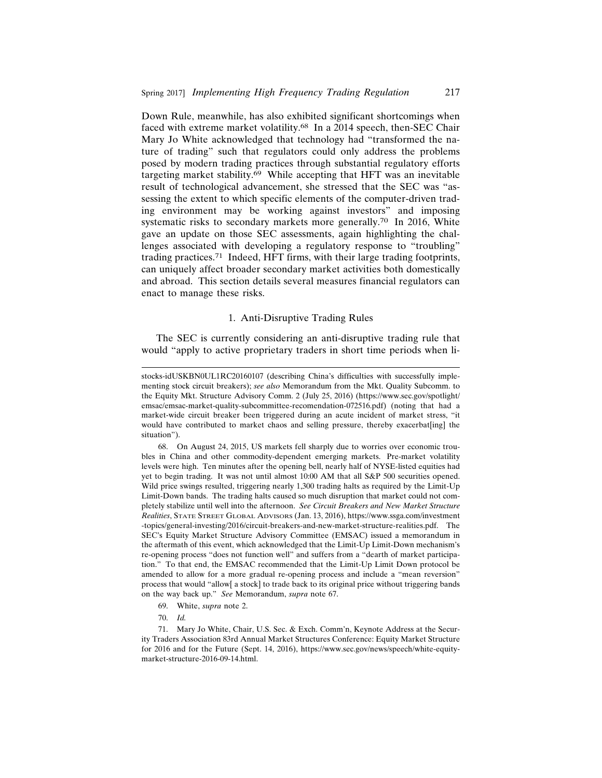Down Rule, meanwhile, has also exhibited significant shortcomings when faced with extreme market volatility.<sup>68</sup> In a 2014 speech, then-SEC Chair Mary Jo White acknowledged that technology had "transformed the nature of trading" such that regulators could only address the problems posed by modern trading practices through substantial regulatory efforts targeting market stability.69 While accepting that HFT was an inevitable result of technological advancement, she stressed that the SEC was "assessing the extent to which specific elements of the computer-driven trading environment may be working against investors" and imposing systematic risks to secondary markets more generally.70 In 2016, White gave an update on those SEC assessments, again highlighting the challenges associated with developing a regulatory response to "troubling" trading practices.71 Indeed, HFT firms, with their large trading footprints, can uniquely affect broader secondary market activities both domestically and abroad. This section details several measures financial regulators can enact to manage these risks.

#### 1. Anti-Disruptive Trading Rules

The SEC is currently considering an anti-disruptive trading rule that would "apply to active proprietary traders in short time periods when li-

68. On August 24, 2015, US markets fell sharply due to worries over economic troubles in China and other commodity-dependent emerging markets. Pre-market volatility levels were high. Ten minutes after the opening bell, nearly half of NYSE-listed equities had yet to begin trading. It was not until almost 10:00 AM that all S&P 500 securities opened. Wild price swings resulted, triggering nearly 1,300 trading halts as required by the Limit-Up Limit-Down bands. The trading halts caused so much disruption that market could not completely stabilize until well into the afternoon. *See Circuit Breakers and New Market Structure Realities*, STATE STREET GLOBAL ADVISORS (Jan. 13, 2016), https://www.ssga.com/investment -topics/general-investing/2016/circuit-breakers-and-new-market-structure-realities.pdf. The SEC's Equity Market Structure Advisory Committee (EMSAC) issued a memorandum in the aftermath of this event, which acknowledged that the Limit-Up Limit-Down mechanism's re-opening process "does not function well" and suffers from a "dearth of market participation." To that end, the EMSAC recommended that the Limit-Up Limit Down protocol be amended to allow for a more gradual re-opening process and include a "mean reversion" process that would "allow[ a stock] to trade back to its original price without triggering bands on the way back up." *See* Memorandum, *supra* note 67.

- 69. White, *supra* note 2.
- 70. *Id.*

71. Mary Jo White, Chair, U.S. Sec. & Exch. Comm'n, Keynote Address at the Security Traders Association 83rd Annual Market Structures Conference: Equity Market Structure for 2016 and for the Future (Sept. 14, 2016), https://www.sec.gov/news/speech/white-equitymarket-structure-2016-09-14.html.

stocks-idUSKBN0UL1RC20160107 (describing China's difficulties with successfully implementing stock circuit breakers); *see also* Memorandum from the Mkt. Quality Subcomm. to the Equity Mkt. Structure Advisory Comm. 2 (July 25, 2016) (https://www.sec.gov/spotlight/ emsac/emsac-market-quality-subcommittee-recomendation-072516.pdf) (noting that had a market-wide circuit breaker been triggered during an acute incident of market stress, "it would have contributed to market chaos and selling pressure, thereby exacerbat[ing] the situation").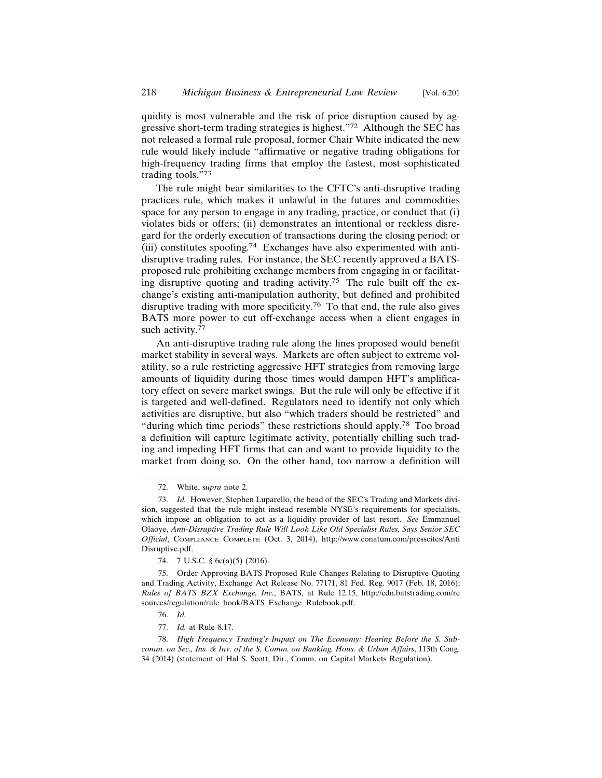quidity is most vulnerable and the risk of price disruption caused by aggressive short-term trading strategies is highest."72 Although the SEC has not released a formal rule proposal, former Chair White indicated the new rule would likely include "affirmative or negative trading obligations for high-frequency trading firms that employ the fastest, most sophisticated trading tools."<sup>73</sup>

The rule might bear similarities to the CFTC's anti-disruptive trading practices rule, which makes it unlawful in the futures and commodities space for any person to engage in any trading, practice, or conduct that (i) violates bids or offers; (ii) demonstrates an intentional or reckless disregard for the orderly execution of transactions during the closing period; or (iii) constitutes spoofing.74 Exchanges have also experimented with antidisruptive trading rules. For instance, the SEC recently approved a BATSproposed rule prohibiting exchange members from engaging in or facilitating disruptive quoting and trading activity.<sup>75</sup> The rule built off the exchange's existing anti-manipulation authority, but defined and prohibited disruptive trading with more specificity.76 To that end, the rule also gives BATS more power to cut off-exchange access when a client engages in such activity.<sup>77</sup>

An anti-disruptive trading rule along the lines proposed would benefit market stability in several ways. Markets are often subject to extreme volatility, so a rule restricting aggressive HFT strategies from removing large amounts of liquidity during those times would dampen HFT's amplificatory effect on severe market swings. But the rule will only be effective if it is targeted and well-defined. Regulators need to identify not only which activities are disruptive, but also "which traders should be restricted" and "during which time periods" these restrictions should apply.78 Too broad a definition will capture legitimate activity, potentially chilling such trading and impeding HFT firms that can and want to provide liquidity to the market from doing so. On the other hand, too narrow a definition will

<sup>72.</sup> White, s*upra* note 2.

<sup>73.</sup> *Id.* However, Stephen Luparello, the head of the SEC's Trading and Markets division, suggested that the rule might instead resemble NYSE's requirements for specialists, which impose an obligation to act as a liquidity provider of last resort. *See* Emmanuel Olaoye, *Anti-Disruptive Trading Rule Will Look Like Old Specialist Rules, Says Senior SEC Official*, COMPLIANCE COMPLETE (Oct. 3, 2014), http://www.conatum.com/presscites/Anti Disruptive.pdf.

<sup>74. 7</sup> U.S.C. § 6c(a)(5) (2016).

<sup>75.</sup> Order Approving BATS Proposed Rule Changes Relating to Disruptive Quoting and Trading Activity, Exchange Act Release No. 77171, 81 Fed. Reg. 9017 (Feb. 18, 2016); *Rules of BATS BZX Exchange, Inc.*, BATS, at Rule 12.15, http://cdn.batstrading.com/re sources/regulation/rule\_book/BATS\_Exchange\_Rulebook.pdf.

<sup>76.</sup> *Id.*

<sup>77.</sup> *Id.* at Rule 8.17.

<sup>78.</sup> *High Frequency Trading's Impact on The Economy: Hearing Before the S. Subcomm. on Sec., Ins. & Inv. of the S. Comm. on Banking, Hous. & Urban Affairs*, 113th Cong. 34 (2014) (statement of Hal S. Scott, Dir., Comm. on Capital Markets Regulation).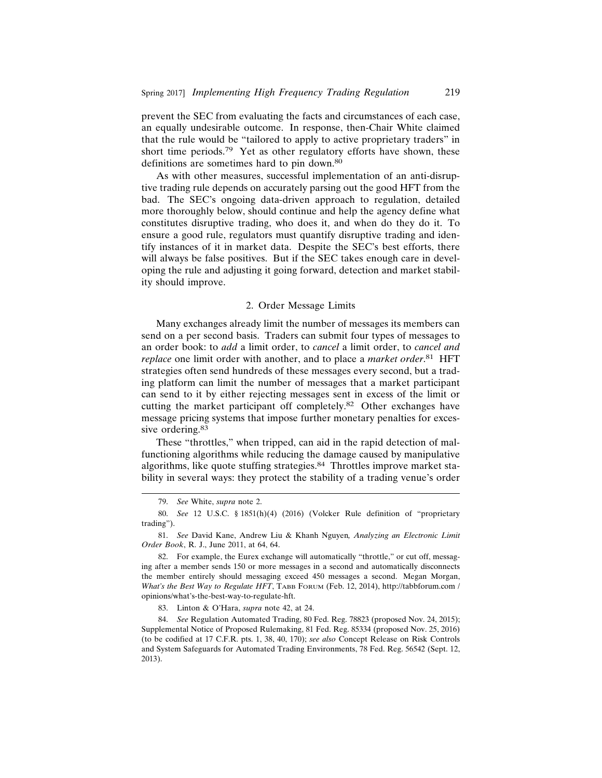prevent the SEC from evaluating the facts and circumstances of each case, an equally undesirable outcome. In response, then-Chair White claimed that the rule would be "tailored to apply to active proprietary traders" in short time periods.79 Yet as other regulatory efforts have shown, these definitions are sometimes hard to pin down.<sup>80</sup>

As with other measures, successful implementation of an anti-disruptive trading rule depends on accurately parsing out the good HFT from the bad. The SEC's ongoing data-driven approach to regulation, detailed more thoroughly below, should continue and help the agency define what constitutes disruptive trading, who does it, and when do they do it. To ensure a good rule, regulators must quantify disruptive trading and identify instances of it in market data. Despite the SEC's best efforts, there will always be false positives. But if the SEC takes enough care in developing the rule and adjusting it going forward, detection and market stability should improve.

#### 2. Order Message Limits

Many exchanges already limit the number of messages its members can send on a per second basis. Traders can submit four types of messages to an order book: to *add* a limit order, to *cancel* a limit order, to *cancel and replace* one limit order with another, and to place a *market order*. 81 HFT strategies often send hundreds of these messages every second, but a trading platform can limit the number of messages that a market participant can send to it by either rejecting messages sent in excess of the limit or cutting the market participant off completely.82 Other exchanges have message pricing systems that impose further monetary penalties for excessive ordering.<sup>83</sup>

These "throttles," when tripped, can aid in the rapid detection of malfunctioning algorithms while reducing the damage caused by manipulative algorithms, like quote stuffing strategies.<sup>84</sup> Throttles improve market stability in several ways: they protect the stability of a trading venue's order

83. Linton & O'Hara, *supra* note 42, at 24.

<sup>79.</sup> *See* White, *supra* note 2.

<sup>80.</sup> *See* 12 U.S.C. § 1851(h)(4) (2016) (Volcker Rule definition of "proprietary trading").

<sup>81.</sup> *See* David Kane, Andrew Liu & Khanh Nguyen*, Analyzing an Electronic Limit Order Book*, R. J., June 2011, at 64, 64.

<sup>82.</sup> For example, the Eurex exchange will automatically "throttle," or cut off, messaging after a member sends 150 or more messages in a second and automatically disconnects the member entirely should messaging exceed 450 messages a second. Megan Morgan, *What's the Best Way to Regulate HFT*, TABB FORUM (Feb. 12, 2014), http://tabbforum.com / opinions/what's-the-best-way-to-regulate-hft.

<sup>84.</sup> *See* Regulation Automated Trading, 80 Fed. Reg. 78823 (proposed Nov. 24, 2015); Supplemental Notice of Proposed Rulemaking, 81 Fed. Reg. 85334 (proposed Nov. 25, 2016) (to be codified at 17 C.F.R. pts. 1, 38, 40, 170); *see also* Concept Release on Risk Controls and System Safeguards for Automated Trading Environments, 78 Fed. Reg. 56542 (Sept. 12, 2013).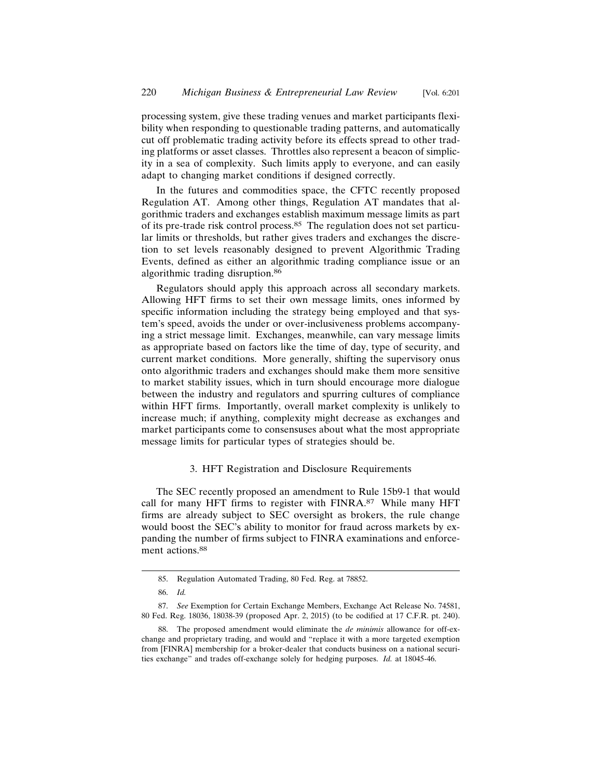processing system, give these trading venues and market participants flexibility when responding to questionable trading patterns, and automatically cut off problematic trading activity before its effects spread to other trading platforms or asset classes. Throttles also represent a beacon of simplicity in a sea of complexity. Such limits apply to everyone, and can easily adapt to changing market conditions if designed correctly.

In the futures and commodities space, the CFTC recently proposed Regulation AT. Among other things, Regulation AT mandates that algorithmic traders and exchanges establish maximum message limits as part of its pre-trade risk control process.85 The regulation does not set particular limits or thresholds, but rather gives traders and exchanges the discretion to set levels reasonably designed to prevent Algorithmic Trading Events, defined as either an algorithmic trading compliance issue or an algorithmic trading disruption.<sup>86</sup>

Regulators should apply this approach across all secondary markets. Allowing HFT firms to set their own message limits, ones informed by specific information including the strategy being employed and that system's speed, avoids the under or over-inclusiveness problems accompanying a strict message limit. Exchanges, meanwhile, can vary message limits as appropriate based on factors like the time of day, type of security, and current market conditions. More generally, shifting the supervisory onus onto algorithmic traders and exchanges should make them more sensitive to market stability issues, which in turn should encourage more dialogue between the industry and regulators and spurring cultures of compliance within HFT firms. Importantly, overall market complexity is unlikely to increase much; if anything, complexity might decrease as exchanges and market participants come to consensuses about what the most appropriate message limits for particular types of strategies should be.

## 3. HFT Registration and Disclosure Requirements

The SEC recently proposed an amendment to Rule 15b9-1 that would call for many HFT firms to register with FINRA.<sup>87</sup> While many HFT firms are already subject to SEC oversight as brokers, the rule change would boost the SEC's ability to monitor for fraud across markets by expanding the number of firms subject to FINRA examinations and enforcement actions.<sup>88</sup>

<sup>85.</sup> Regulation Automated Trading, 80 Fed. Reg. at 78852.

<sup>86.</sup> *Id.*

<sup>87.</sup> *See* Exemption for Certain Exchange Members, Exchange Act Release No. 74581, 80 Fed. Reg. 18036, 18038-39 (proposed Apr. 2, 2015) (to be codified at 17 C.F.R. pt. 240).

<sup>88.</sup> The proposed amendment would eliminate the *de minimis* allowance for off-exchange and proprietary trading, and would and "replace it with a more targeted exemption from [FINRA] membership for a broker-dealer that conducts business on a national securities exchange" and trades off-exchange solely for hedging purposes. *Id.* at 18045-46.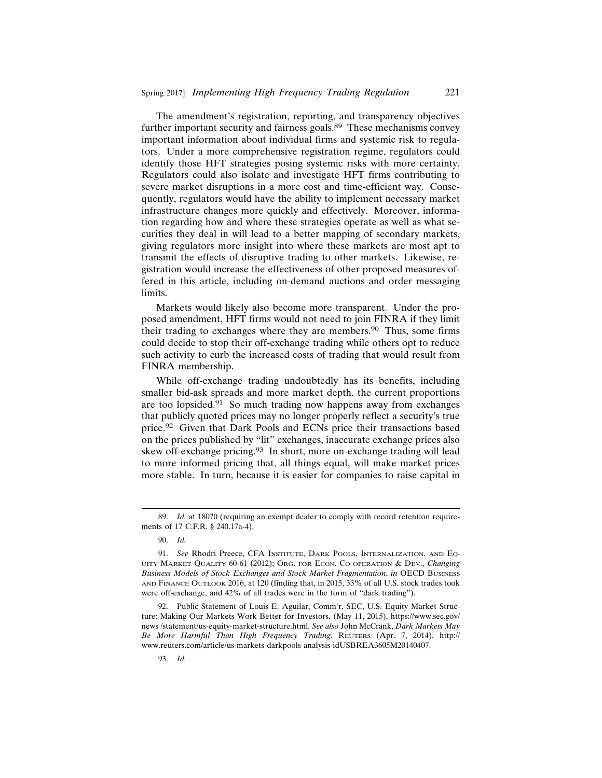The amendment's registration, reporting, and transparency objectives further important security and fairness goals.<sup>89</sup> These mechanisms convey important information about individual firms and systemic risk to regulators. Under a more comprehensive registration regime, regulators could identify those HFT strategies posing systemic risks with more certainty. Regulators could also isolate and investigate HFT firms contributing to severe market disruptions in a more cost and time-efficient way. Consequently, regulators would have the ability to implement necessary market infrastructure changes more quickly and effectively. Moreover, information regarding how and where these strategies operate as well as what securities they deal in will lead to a better mapping of secondary markets, giving regulators more insight into where these markets are most apt to transmit the effects of disruptive trading to other markets. Likewise, registration would increase the effectiveness of other proposed measures offered in this article, including on-demand auctions and order messaging limits.

Markets would likely also become more transparent. Under the proposed amendment, HFT firms would not need to join FINRA if they limit their trading to exchanges where they are members.90 Thus, some firms could decide to stop their off-exchange trading while others opt to reduce such activity to curb the increased costs of trading that would result from FINRA membership.

While off-exchange trading undoubtedly has its benefits, including smaller bid-ask spreads and more market depth, the current proportions are too lopsided.91 So much trading now happens away from exchanges that publicly quoted prices may no longer properly reflect a security's true price.92 Given that Dark Pools and ECNs price their transactions based on the prices published by "lit" exchanges, inaccurate exchange prices also skew off-exchange pricing.93 In short, more on-exchange trading will lead to more informed pricing that, all things equal, will make market prices more stable. In turn, because it is easier for companies to raise capital in

<sup>89.</sup> *Id.* at 18070 (requiring an exempt dealer to comply with record retention requirements of 17 C.F.R. § 240.17a-4).

<sup>90.</sup> *Id.*

<sup>91.</sup> *See* Rhodri Preece, CFA INSTITUTE, DARK POOLS, INTERNALIZATION, AND EQ-UITY MARKET QUALITY 60-61 (2012); ORG. FOR ECON. CO-OPERATION & DEV., *Changing Business Models of Stock Exchanges and Stock Market Fragmentation*, *in* OECD BUSINESS AND FINANCE OUTLOOK 2016, at 120 (finding that, in 2015, 33% of all U.S. stock trades took were off-exchange, and 42% of all trades were in the form of "dark trading").

<sup>92.</sup> Public Statement of Louis E. Aguilar, Comm'r, SEC, U.S. Equity Market Structure: Making Our Markets Work Better for Investors, (May 11, 2015), https://www.sec.gov/ news /statement/us-equity-market-structure.html. *See also* John McCrank, *Dark Markets May Be More Harmful Than High Frequency Trading*, REUTERS (Apr. 7, 2014), http:// www.reuters.com/article/us-markets-darkpools-analysis-idUSBREA3605M20140407.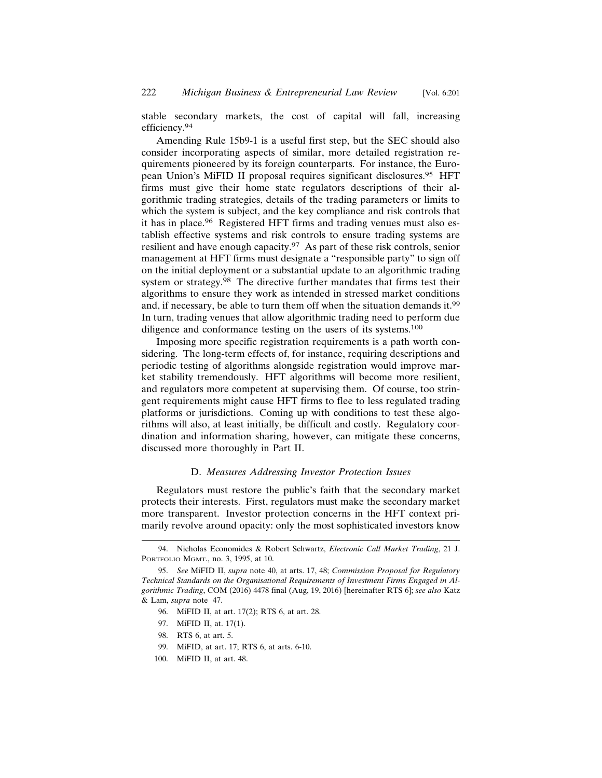stable secondary markets, the cost of capital will fall, increasing efficiency.94

Amending Rule 15b9-1 is a useful first step, but the SEC should also consider incorporating aspects of similar, more detailed registration requirements pioneered by its foreign counterparts. For instance, the European Union's MiFID II proposal requires significant disclosures.95 HFT firms must give their home state regulators descriptions of their algorithmic trading strategies, details of the trading parameters or limits to which the system is subject, and the key compliance and risk controls that it has in place.96 Registered HFT firms and trading venues must also establish effective systems and risk controls to ensure trading systems are resilient and have enough capacity.<sup>97</sup> As part of these risk controls, senior management at HFT firms must designate a "responsible party" to sign off on the initial deployment or a substantial update to an algorithmic trading system or strategy.<sup>98</sup> The directive further mandates that firms test their algorithms to ensure they work as intended in stressed market conditions and, if necessary, be able to turn them off when the situation demands it.<sup>99</sup> In turn, trading venues that allow algorithmic trading need to perform due diligence and conformance testing on the users of its systems.<sup>100</sup>

Imposing more specific registration requirements is a path worth considering. The long-term effects of, for instance, requiring descriptions and periodic testing of algorithms alongside registration would improve market stability tremendously. HFT algorithms will become more resilient, and regulators more competent at supervising them. Of course, too stringent requirements might cause HFT firms to flee to less regulated trading platforms or jurisdictions. Coming up with conditions to test these algorithms will also, at least initially, be difficult and costly. Regulatory coordination and information sharing, however, can mitigate these concerns, discussed more thoroughly in Part II.

# D. *Measures Addressing Investor Protection Issues*

Regulators must restore the public's faith that the secondary market protects their interests. First, regulators must make the secondary market more transparent. Investor protection concerns in the HFT context primarily revolve around opacity: only the most sophisticated investors know

<sup>94.</sup> Nicholas Economides & Robert Schwartz, *Electronic Call Market Trading*, 21 J. PORTFOLIO MGMT., no. 3, 1995, at 10.

<sup>95.</sup> *See* MiFID II, *supra* note 40, at arts. 17, 48; *Commission Proposal for Regulatory Technical Standards on the Organisational Requirements of Investment Firms Engaged in Algorithmic Trading*, COM (2016) 4478 final (Aug, 19, 2016) [hereinafter RTS 6]; *see also* Katz & Lam, *supra* note 47.

<sup>96.</sup> MiFID II, at art. 17(2); RTS 6, at art. 28.

<sup>97.</sup> MiFID II, at. 17(1).

<sup>98.</sup> RTS 6, at art. 5.

<sup>99.</sup> MiFID, at art. 17; RTS 6, at arts. 6-10.

<sup>100.</sup> MiFID II, at art. 48.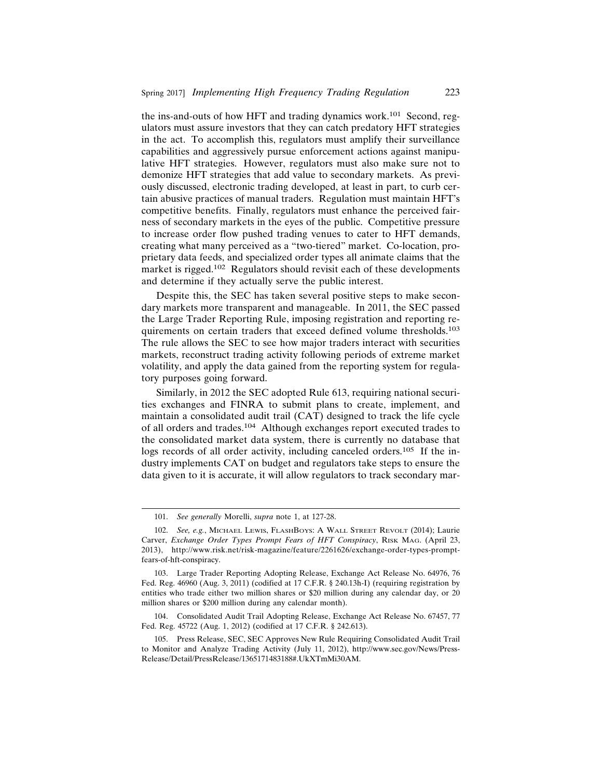the ins-and-outs of how HFT and trading dynamics work.101 Second, regulators must assure investors that they can catch predatory HFT strategies in the act. To accomplish this, regulators must amplify their surveillance capabilities and aggressively pursue enforcement actions against manipulative HFT strategies. However, regulators must also make sure not to demonize HFT strategies that add value to secondary markets. As previously discussed, electronic trading developed, at least in part, to curb certain abusive practices of manual traders. Regulation must maintain HFT's competitive benefits. Finally, regulators must enhance the perceived fairness of secondary markets in the eyes of the public. Competitive pressure to increase order flow pushed trading venues to cater to HFT demands, creating what many perceived as a "two-tiered" market. Co-location, proprietary data feeds, and specialized order types all animate claims that the market is rigged.102 Regulators should revisit each of these developments and determine if they actually serve the public interest.

Despite this, the SEC has taken several positive steps to make secondary markets more transparent and manageable. In 2011, the SEC passed the Large Trader Reporting Rule, imposing registration and reporting requirements on certain traders that exceed defined volume thresholds.<sup>103</sup> The rule allows the SEC to see how major traders interact with securities markets, reconstruct trading activity following periods of extreme market volatility, and apply the data gained from the reporting system for regulatory purposes going forward.

Similarly, in 2012 the SEC adopted Rule 613, requiring national securities exchanges and FINRA to submit plans to create, implement, and maintain a consolidated audit trail (CAT) designed to track the life cycle of all orders and trades.104 Although exchanges report executed trades to the consolidated market data system, there is currently no database that logs records of all order activity, including canceled orders.<sup>105</sup> If the industry implements CAT on budget and regulators take steps to ensure the data given to it is accurate, it will allow regulators to track secondary mar-

<sup>101.</sup> *See generally* Morelli, *supra* note 1, at 127-28.

<sup>102.</sup> *See, e.g.*, MICHAEL LEWIS, FLASHBOYS: A WALL STREET REVOLT (2014); Laurie Carver, *Exchange Order Types Prompt Fears of HFT Conspiracy*, RISK MAG. (April 23, 2013), http://www.risk.net/risk-magazine/feature/2261626/exchange-order-types-promptfears-of-hft-conspiracy.

<sup>103.</sup> Large Trader Reporting Adopting Release, Exchange Act Release No. 64976, 76 Fed. Reg. 46960 (Aug. 3, 2011) (codified at 17 C.F.R. § 240.13h-I) (requiring registration by entities who trade either two million shares or \$20 million during any calendar day, or 20 million shares or \$200 million during any calendar month).

<sup>104.</sup> Consolidated Audit Trail Adopting Release, Exchange Act Release No. 67457, 77 Fed. Reg. 45722 (Aug. 1, 2012) (codified at 17 C.F.R. § 242.613).

<sup>105.</sup> Press Release, SEC, SEC Approves New Rule Requiring Consolidated Audit Trail to Monitor and Analyze Trading Activity (July 11, 2012), http://www.sec.gov/News/Press-Release/Detail/PressRelease/1365171483188#.UkXTmMi30AM.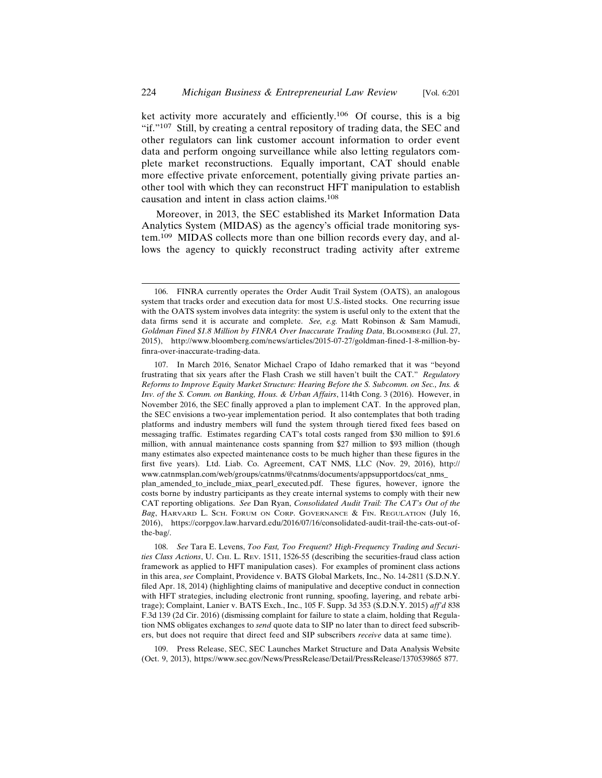ket activity more accurately and efficiently.106 Of course, this is a big "if."<sup>107</sup> Still, by creating a central repository of trading data, the SEC and other regulators can link customer account information to order event data and perform ongoing surveillance while also letting regulators complete market reconstructions. Equally important, CAT should enable more effective private enforcement, potentially giving private parties another tool with which they can reconstruct HFT manipulation to establish causation and intent in class action claims.<sup>108</sup>

Moreover, in 2013, the SEC established its Market Information Data Analytics System (MIDAS) as the agency's official trade monitoring system.109 MIDAS collects more than one billion records every day, and allows the agency to quickly reconstruct trading activity after extreme

108. *See* Tara E. Levens, *Too Fast, Too Frequent? High-Frequency Trading and Securities Class Actions*, U. CHI. L. REV. 1511, 1526-55 (describing the securities-fraud class action framework as applied to HFT manipulation cases). For examples of prominent class actions in this area, *see* Complaint, Providence v. BATS Global Markets, Inc., No. 14-2811 (S.D.N.Y. filed Apr. 18, 2014) (highlighting claims of manipulative and deceptive conduct in connection with HFT strategies, including electronic front running, spoofing, layering, and rebate arbitrage); Complaint, Lanier v. BATS Exch., Inc., 105 F. Supp. 3d 353 (S.D.N.Y. 2015) *aff'd* 838 F.3d 139 (2d Cir. 2016) (dismissing complaint for failure to state a claim, holding that Regulation NMS obligates exchanges to *send* quote data to SIP no later than to direct feed subscribers, but does not require that direct feed and SIP subscribers *receive* data at same time).

109. Press Release, SEC, SEC Launches Market Structure and Data Analysis Website (Oct. 9, 2013), https://www.sec.gov/News/PressRelease/Detail/PressRelease/1370539865 877.

<sup>106.</sup> FINRA currently operates the Order Audit Trail System (OATS), an analogous system that tracks order and execution data for most U.S.-listed stocks. One recurring issue with the OATS system involves data integrity: the system is useful only to the extent that the data firms send it is accurate and complete. *See, e.g.* Matt Robinson & Sam Mamudi, *Goldman Fined \$1.8 Million by FINRA Over Inaccurate Trading Data*, BLOOMBERG (Jul. 27, 2015), http://www.bloomberg.com/news/articles/2015-07-27/goldman-fined-1-8-million-byfinra-over-inaccurate-trading-data.

<sup>107.</sup> In March 2016, Senator Michael Crapo of Idaho remarked that it was "beyond frustrating that six years after the Flash Crash we still haven't built the CAT." *Regulatory Reforms to Improve Equity Market Structure: Hearing Before the S. Subcomm. on Sec., Ins. & Inv. of the S. Comm. on Banking, Hous. & Urban Affairs*, 114th Cong. 3 (2016). However, in November 2016, the SEC finally approved a plan to implement CAT. In the approved plan, the SEC envisions a two-year implementation period. It also contemplates that both trading platforms and industry members will fund the system through tiered fixed fees based on messaging traffic. Estimates regarding CAT's total costs ranged from \$30 million to \$91.6 million, with annual maintenance costs spanning from \$27 million to \$93 million (though many estimates also expected maintenance costs to be much higher than these figures in the first five years). Ltd. Liab. Co. Agreement, CAT NMS, LLC (Nov. 29, 2016), http:// www.catnmsplan.com/web/groups/catnms/@catnms/documents/appsupportdocs/cat\_nms\_ plan\_amended\_to\_include\_miax\_pearl\_executed.pdf. These figures, however, ignore the costs borne by industry participants as they create internal systems to comply with their new CAT reporting obligations. *See* Dan Ryan, *Consolidated Audit Trail: The CAT's Out of the Bag*, HARVARD L. SCH. FORUM ON CORP. GOVERNANCE & FIN. REGULATION (July 16, 2016), https://corpgov.law.harvard.edu/2016/07/16/consolidated-audit-trail-the-cats-out-ofthe-bag/.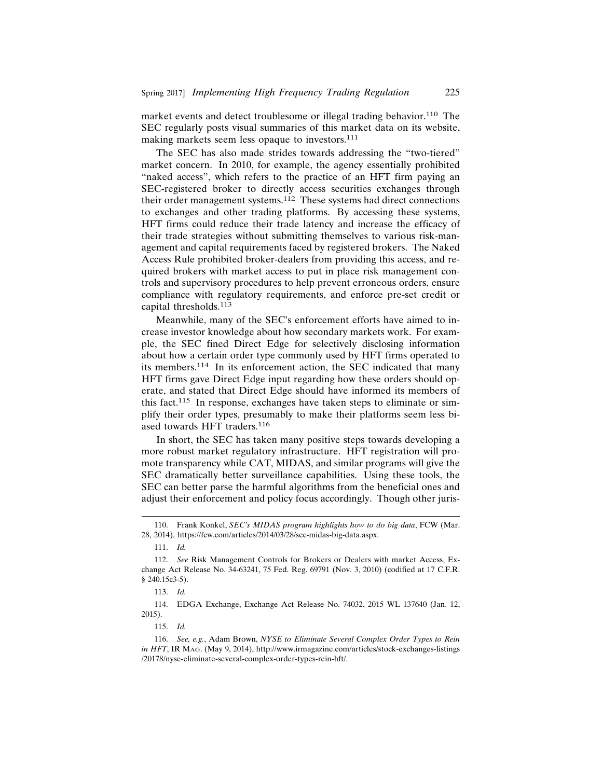market events and detect troublesome or illegal trading behavior.<sup>110</sup> The SEC regularly posts visual summaries of this market data on its website, making markets seem less opaque to investors.<sup>111</sup>

The SEC has also made strides towards addressing the "two-tiered" market concern. In 2010, for example, the agency essentially prohibited "naked access", which refers to the practice of an HFT firm paying an SEC-registered broker to directly access securities exchanges through their order management systems.112 These systems had direct connections to exchanges and other trading platforms. By accessing these systems, HFT firms could reduce their trade latency and increase the efficacy of their trade strategies without submitting themselves to various risk-management and capital requirements faced by registered brokers. The Naked Access Rule prohibited broker-dealers from providing this access, and required brokers with market access to put in place risk management controls and supervisory procedures to help prevent erroneous orders, ensure compliance with regulatory requirements, and enforce pre-set credit or capital thresholds.<sup>113</sup>

Meanwhile, many of the SEC's enforcement efforts have aimed to increase investor knowledge about how secondary markets work. For example, the SEC fined Direct Edge for selectively disclosing information about how a certain order type commonly used by HFT firms operated to its members.114 In its enforcement action, the SEC indicated that many HFT firms gave Direct Edge input regarding how these orders should operate, and stated that Direct Edge should have informed its members of this fact.115 In response, exchanges have taken steps to eliminate or simplify their order types, presumably to make their platforms seem less biased towards HFT traders.<sup>116</sup>

In short, the SEC has taken many positive steps towards developing a more robust market regulatory infrastructure. HFT registration will promote transparency while CAT, MIDAS, and similar programs will give the SEC dramatically better surveillance capabilities. Using these tools, the SEC can better parse the harmful algorithms from the beneficial ones and adjust their enforcement and policy focus accordingly. Though other juris-

<sup>110.</sup> Frank Konkel, *SEC's MIDAS program highlights how to do big data*, FCW (Mar. 28, 2014), https://fcw.com/articles/2014/03/28/sec-midas-big-data.aspx.

<sup>111.</sup> *Id.*

<sup>112.</sup> *See* Risk Management Controls for Brokers or Dealers with market Access, Exchange Act Release No. 34-63241, 75 Fed. Reg. 69791 (Nov. 3, 2010) (codified at 17 C.F.R. § 240.15c3-5).

<sup>113.</sup> *Id.*

<sup>114.</sup> EDGA Exchange, Exchange Act Release No. 74032, 2015 WL 137640 (Jan. 12, 2015).

<sup>115.</sup> *Id.*

<sup>116.</sup> *See, e.g.*, Adam Brown, *NYSE to Eliminate Several Complex Order Types to Rein in HFT*, IR MAG. (May 9, 2014), http://www.irmagazine.com/articles/stock-exchanges-listings /20178/nyse-eliminate-several-complex-order-types-rein-hft/.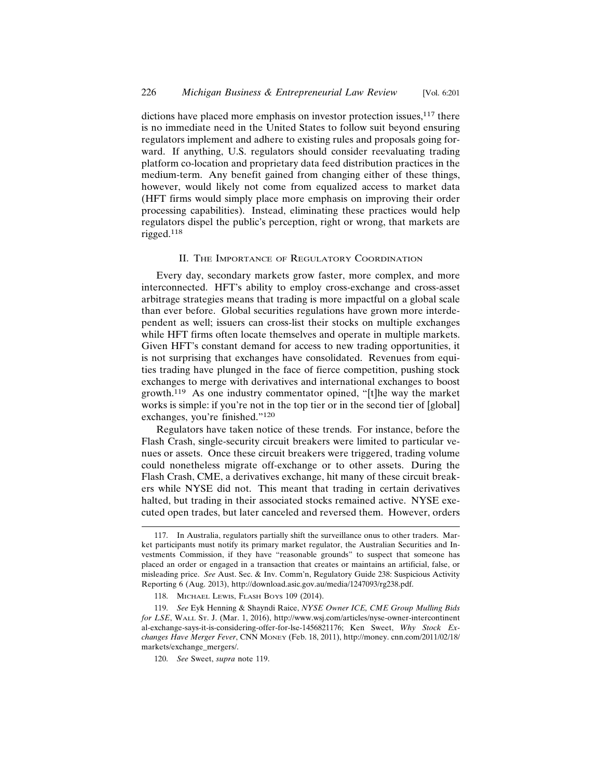dictions have placed more emphasis on investor protection issues, $117$  there is no immediate need in the United States to follow suit beyond ensuring regulators implement and adhere to existing rules and proposals going forward. If anything, U.S. regulators should consider reevaluating trading platform co-location and proprietary data feed distribution practices in the medium-term. Any benefit gained from changing either of these things, however, would likely not come from equalized access to market data (HFT firms would simply place more emphasis on improving their order processing capabilities). Instead, eliminating these practices would help regulators dispel the public's perception, right or wrong, that markets are rigged.118

#### II. THE IMPORTANCE OF REGULATORY COORDINATION

Every day, secondary markets grow faster, more complex, and more interconnected. HFT's ability to employ cross-exchange and cross-asset arbitrage strategies means that trading is more impactful on a global scale than ever before. Global securities regulations have grown more interdependent as well; issuers can cross-list their stocks on multiple exchanges while HFT firms often locate themselves and operate in multiple markets. Given HFT's constant demand for access to new trading opportunities, it is not surprising that exchanges have consolidated. Revenues from equities trading have plunged in the face of fierce competition, pushing stock exchanges to merge with derivatives and international exchanges to boost growth.119 As one industry commentator opined, "[t]he way the market works is simple: if you're not in the top tier or in the second tier of [global] exchanges, you're finished."<sup>120</sup>

Regulators have taken notice of these trends. For instance, before the Flash Crash, single-security circuit breakers were limited to particular venues or assets. Once these circuit breakers were triggered, trading volume could nonetheless migrate off-exchange or to other assets. During the Flash Crash, CME, a derivatives exchange, hit many of these circuit breakers while NYSE did not. This meant that trading in certain derivatives halted, but trading in their associated stocks remained active. NYSE executed open trades, but later canceled and reversed them. However, orders

<sup>117.</sup> In Australia, regulators partially shift the surveillance onus to other traders. Market participants must notify its primary market regulator, the Australian Securities and Investments Commission, if they have "reasonable grounds" to suspect that someone has placed an order or engaged in a transaction that creates or maintains an artificial, false, or misleading price. *See* Aust. Sec. & Inv. Comm'n, Regulatory Guide 238: Suspicious Activity Reporting 6 (Aug. 2013), http://download.asic.gov.au/media/1247093/rg238.pdf.

<sup>118.</sup> MICHAEL LEWIS, FLASH BOYS 109 (2014).

<sup>119.</sup> *See* Eyk Henning & Shayndi Raice, *NYSE Owner ICE, CME Group Mulling Bids for LSE*, WALL ST. J. (Mar. 1, 2016), http://www.wsj.com/articles/nyse-owner-intercontinent al-exchange-says-it-is-considering-offer-for-lse-1456821176; Ken Sweet, *Why Stock Exchanges Have Merger Fever*, CNN MONEY (Feb. 18, 2011), http://money. cnn.com/2011/02/18/ markets/exchange\_mergers/.

<sup>120.</sup> *See* Sweet, *supra* note 119.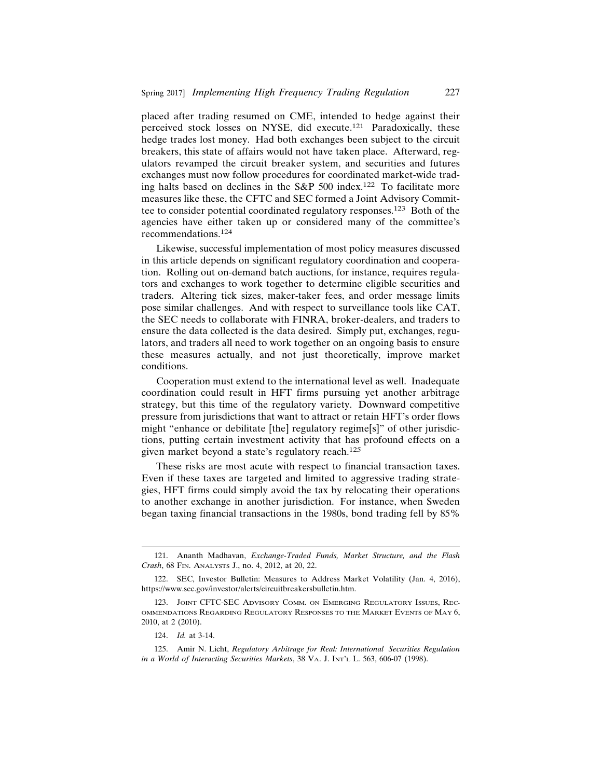placed after trading resumed on CME, intended to hedge against their perceived stock losses on NYSE, did execute.121 Paradoxically, these hedge trades lost money. Had both exchanges been subject to the circuit breakers, this state of affairs would not have taken place. Afterward, regulators revamped the circuit breaker system, and securities and futures exchanges must now follow procedures for coordinated market-wide trading halts based on declines in the  $S\&P 500$  index.<sup>122</sup> To facilitate more measures like these, the CFTC and SEC formed a Joint Advisory Committee to consider potential coordinated regulatory responses.123 Both of the agencies have either taken up or considered many of the committee's recommendations.124

Likewise, successful implementation of most policy measures discussed in this article depends on significant regulatory coordination and cooperation. Rolling out on-demand batch auctions, for instance, requires regulators and exchanges to work together to determine eligible securities and traders. Altering tick sizes, maker-taker fees, and order message limits pose similar challenges. And with respect to surveillance tools like CAT, the SEC needs to collaborate with FINRA, broker-dealers, and traders to ensure the data collected is the data desired. Simply put, exchanges, regulators, and traders all need to work together on an ongoing basis to ensure these measures actually, and not just theoretically, improve market conditions.

Cooperation must extend to the international level as well. Inadequate coordination could result in HFT firms pursuing yet another arbitrage strategy, but this time of the regulatory variety. Downward competitive pressure from jurisdictions that want to attract or retain HFT's order flows might "enhance or debilitate [the] regulatory regime[s]" of other jurisdictions, putting certain investment activity that has profound effects on a given market beyond a state's regulatory reach.<sup>125</sup>

These risks are most acute with respect to financial transaction taxes. Even if these taxes are targeted and limited to aggressive trading strategies, HFT firms could simply avoid the tax by relocating their operations to another exchange in another jurisdiction. For instance, when Sweden began taxing financial transactions in the 1980s, bond trading fell by 85%

<sup>121.</sup> Ananth Madhavan, *Exchange-Traded Funds, Market Structure, and the Flash Crash*, 68 FIN. ANALYSTS J., no. 4, 2012, at 20, 22.

<sup>122.</sup> SEC, Investor Bulletin: Measures to Address Market Volatility (Jan. 4, 2016), https://www.sec.gov/investor/alerts/circuitbreakersbulletin.htm.

<sup>123.</sup> JOINT CFTC-SEC ADVISORY COMM. ON EMERGING REGULATORY ISSUES, REC-OMMENDATIONS REGARDING REGULATORY RESPONSES TO THE MARKET EVENTS OF MAY 6, 2010, at 2 (2010).

<sup>124.</sup> *Id.* at 3-14.

<sup>125.</sup> Amir N. Licht, *Regulatory Arbitrage for Real: International Securities Regulation in a World of Interacting Securities Markets*, 38 VA. J. INT'L L. 563, 606-07 (1998).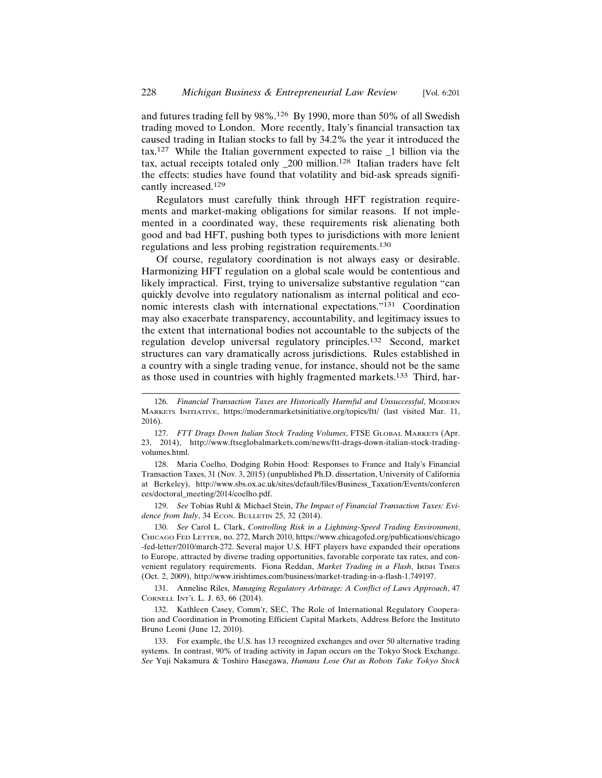and futures trading fell by 98%.126 By 1990, more than 50% of all Swedish trading moved to London. More recently, Italy's financial transaction tax caused trading in Italian stocks to fall by 34.2% the year it introduced the tax.127 While the Italian government expected to raise \_1 billion via the tax, actual receipts totaled only \_200 million.128 Italian traders have felt the effects: studies have found that volatility and bid-ask spreads significantly increased.<sup>129</sup>

Regulators must carefully think through HFT registration requirements and market-making obligations for similar reasons. If not implemented in a coordinated way, these requirements risk alienating both good and bad HFT, pushing both types to jurisdictions with more lenient regulations and less probing registration requirements.<sup>130</sup>

Of course, regulatory coordination is not always easy or desirable. Harmonizing HFT regulation on a global scale would be contentious and likely impractical. First, trying to universalize substantive regulation "can quickly devolve into regulatory nationalism as internal political and economic interests clash with international expectations."131 Coordination may also exacerbate transparency, accountability, and legitimacy issues to the extent that international bodies not accountable to the subjects of the regulation develop universal regulatory principles.132 Second, market structures can vary dramatically across jurisdictions. Rules established in a country with a single trading venue, for instance, should not be the same as those used in countries with highly fragmented markets.<sup>133</sup> Third, har-

128. Maria Coelho, Dodging Robin Hood: Responses to France and Italy's Financial Transaction Taxes, 31 (Nov. 3, 2015) (unpublished Ph.D. dissertation, University of California at Berkeley), http://www.sbs.ox.ac.uk/sites/default/files/Business\_Taxation/Events/conferen ces/doctoral\_meeting/2014/coelho.pdf.

129. *See* Tobias Ruhl & Michael Stein, *The Impact of Financial Transaction Taxes: Evidence from Italy*, 34 ECON. BULLETIN 25, 32 (2014).

130. *See* Carol L. Clark, *Controlling Risk in a Lightning-Speed Trading Environment*, CHICAGO FED LETTER, no. 272, March 2010, https://www.chicagofed.org/publications/chicago -fed-letter/2010/march-272. Several major U.S. HFT players have expanded their operations to Europe, attracted by diverse trading opportunities, favorable corporate tax rates, and convenient regulatory requirements. Fiona Reddan, *Market Trading in a Flash*, IRISH TIMES (Oct. 2, 2009), http://www.irishtimes.com/business/market-trading-in-a-flash-1.749197.

131. Annelise Riles, *Managing Regulatory Arbitrage: A Conflict of Laws Approach*, 47 CORNELL INT'L L. J. 63, 66 (2014).

132. Kathleen Casey, Comm'r, SEC, The Role of International Regulatory Cooperation and Coordination in Promoting Efficient Capital Markets, Address Before the Instituto Bruno Leoni (June 12, 2010).

133. For example, the U.S. has 13 recognized exchanges and over 50 alternative trading systems. In contrast, 90% of trading activity in Japan occurs on the Tokyo Stock Exchange. *See* Yuji Nakamura & Toshiro Hasegawa, *Humans Lose Out as Robots Take Tokyo Stock*

<sup>126.</sup> *Financial Transaction Taxes are Historically Harmful and Unsuccessful*, MODERN MARKETS INITIATIVE, https://modernmarketsinitiative.org/topics/ftt/ (last visited Mar. 11, 2016).

<sup>127.</sup> *FTT Drags Down Italian Stock Trading Volumes*, FTSE GLOBAL MARKETS (Apr. 23, 2014), http://www.ftseglobalmarkets.com/news/ftt-drags-down-italian-stock-tradingvolumes.html.